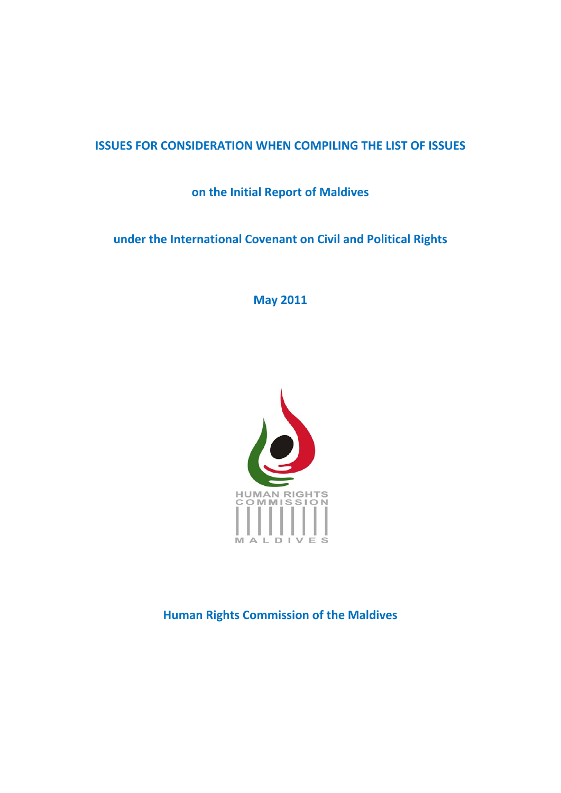## **ISSUES FOR CONSIDERATION WHEN COMPILING THE LIST OF ISSUES**

**on the Initial Report of Maldives**

**under the International Covenant on Civil and Political Rights**

**May 2011**



**Human Rights Commission of the Maldives**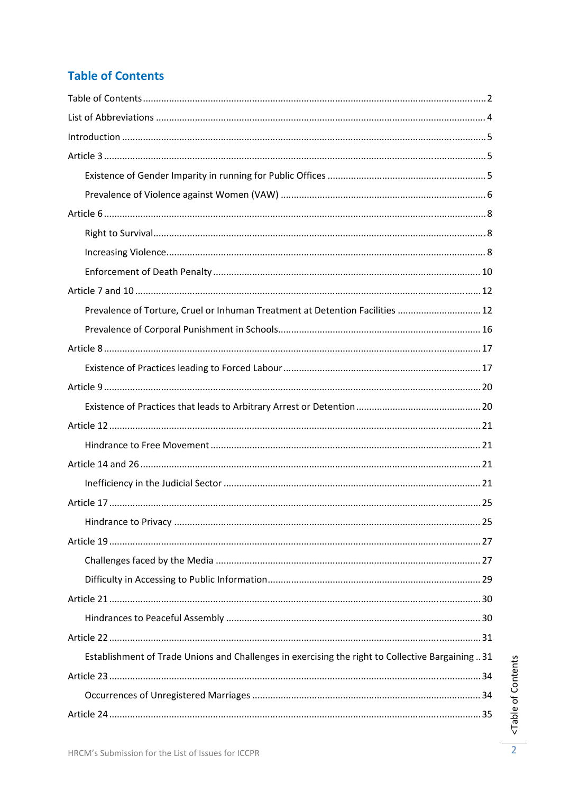# **Table of Contents**

| Prevalence of Torture, Cruel or Inhuman Treatment at Detention Facilities  12                    |  |
|--------------------------------------------------------------------------------------------------|--|
|                                                                                                  |  |
|                                                                                                  |  |
|                                                                                                  |  |
|                                                                                                  |  |
|                                                                                                  |  |
|                                                                                                  |  |
|                                                                                                  |  |
|                                                                                                  |  |
|                                                                                                  |  |
|                                                                                                  |  |
|                                                                                                  |  |
|                                                                                                  |  |
|                                                                                                  |  |
|                                                                                                  |  |
|                                                                                                  |  |
|                                                                                                  |  |
|                                                                                                  |  |
| Establishment of Trade Unions and Challenges in exercising the right to Collective Bargaining 31 |  |
|                                                                                                  |  |
|                                                                                                  |  |
|                                                                                                  |  |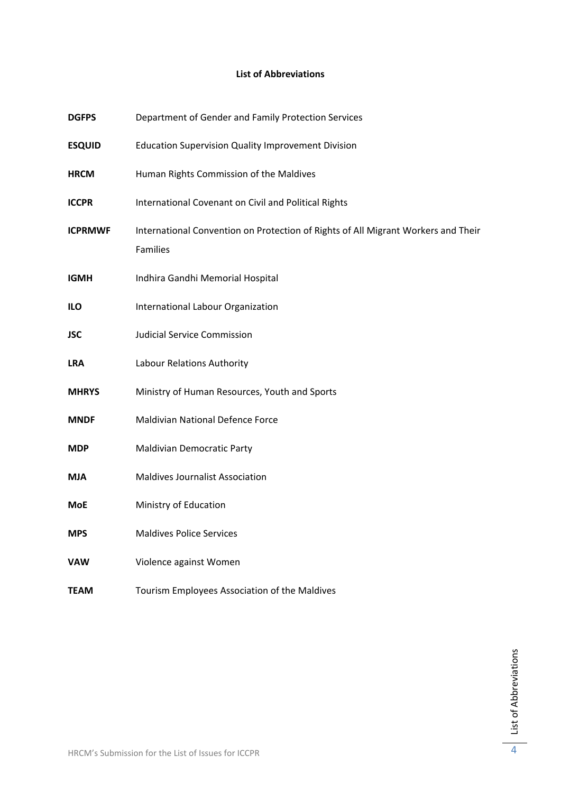## **List of Abbreviations**

| <b>DGFPS</b>   | Department of Gender and Family Protection Services                                           |
|----------------|-----------------------------------------------------------------------------------------------|
| <b>ESQUID</b>  | <b>Education Supervision Quality Improvement Division</b>                                     |
| <b>HRCM</b>    | Human Rights Commission of the Maldives                                                       |
| <b>ICCPR</b>   | International Covenant on Civil and Political Rights                                          |
| <b>ICPRMWF</b> | International Convention on Protection of Rights of All Migrant Workers and Their<br>Families |
| <b>IGMH</b>    | Indhira Gandhi Memorial Hospital                                                              |
| ILO            | International Labour Organization                                                             |
| <b>JSC</b>     | <b>Judicial Service Commission</b>                                                            |
| <b>LRA</b>     | Labour Relations Authority                                                                    |
| <b>MHRYS</b>   | Ministry of Human Resources, Youth and Sports                                                 |
| <b>MNDF</b>    | <b>Maldivian National Defence Force</b>                                                       |
| <b>MDP</b>     | <b>Maldivian Democratic Party</b>                                                             |
| <b>MJA</b>     | <b>Maldives Journalist Association</b>                                                        |
| MoE            | Ministry of Education                                                                         |
| <b>MPS</b>     | <b>Maldives Police Services</b>                                                               |
| <b>VAW</b>     | Violence against Women                                                                        |
| <b>TEAM</b>    | Tourism Employees Association of the Maldives                                                 |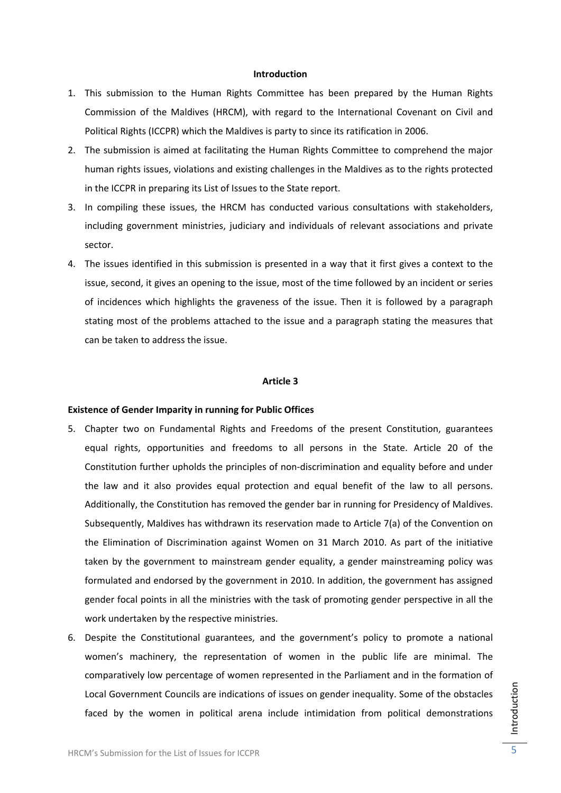#### **Introduction**

- 1. This submission to the Human Rights Committee has been prepared by the Human Rights Commission of the Maldives (HRCM), with regard to the International Covenant on Civil and Political Rights (ICCPR) which the Maldives is party to since its ratification in 2006.
- 2. The submission is aimed at facilitating the Human Rights Committee to comprehend the major human rights issues, violations and existing challenges in the Maldives as to the rights protected in the ICCPR in preparing its List of Issues to the State report.
- 3. In compiling these issues, the HRCM has conducted various consultations with stakeholders, including government ministries, judiciary and individuals of relevant associations and private sector.
- 4. The issues identified in this submission is presented in a way that it first gives a context to the issue, second, it gives an opening to the issue, most of the time followed by an incident or series of incidences which highlights the graveness of the issue. Then it is followed by a paragraph stating most of the problems attached to the issue and a paragraph stating the measures that can be taken to address the issue.

## **Article 3**

#### **Existence of Gender Imparity in running for Public Offices**

- 5. Chapter two on Fundamental Rights and Freedoms of the present Constitution, guarantees equal rights, opportunities and freedoms to all persons in the State. Article 20 of the Constitution further upholds the principles of non‐discrimination and equality before and under the law and it also provides equal protection and equal benefit of the law to all persons. Additionally, the Constitution has removed the gender bar in running for Presidency of Maldives. Subsequently, Maldives has withdrawn its reservation made to Article 7(a) of the Convention on the Elimination of Discrimination against Women on 31 March 2010. As part of the initiative taken by the government to mainstream gender equality, a gender mainstreaming policy was formulated and endorsed by the government in 2010. In addition, the government has assigned gender focal points in all the ministries with the task of promoting gender perspective in all the work undertaken by the respective ministries.
- 6. Despite the Constitutional guarantees, and the government's policy to promote a national women's machinery, the representation of women in the public life are minimal. The comparatively low percentage of women represented in the Parliament and in the formation of Local Government Councils are indications of issues on gender inequality. Some of the obstacles faced by the women in political arena include intimidation from political demonstrations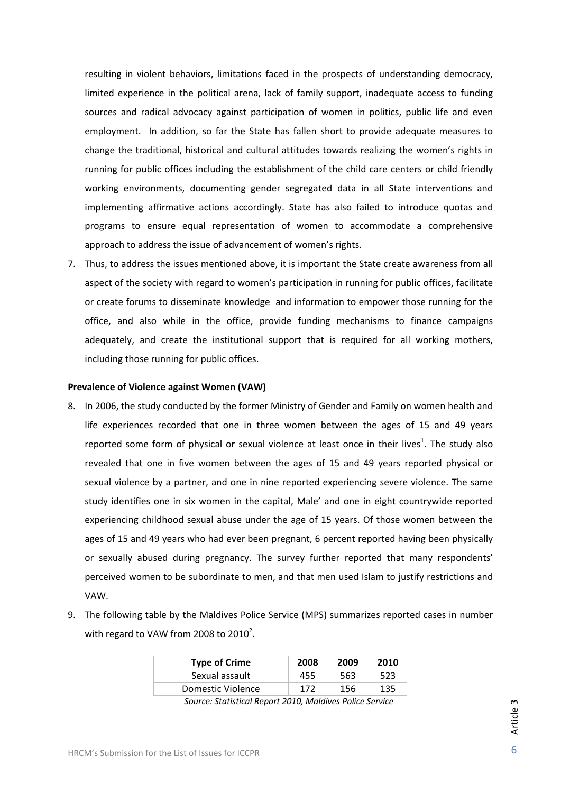resulting in violent behaviors, limitations faced in the prospects of understanding democracy, limited experience in the political arena, lack of family support, inadequate access to funding sources and radical advocacy against participation of women in politics, public life and even employment. In addition, so far the State has fallen short to provide adequate measures to change the traditional, historical and cultural attitudes towards realizing the women's rights in running for public offices including the establishment of the child care centers or child friendly working environments, documenting gender segregated data in all State interventions and implementing affirmative actions accordingly. State has also failed to introduce quotas and programs to ensure equal representation of women to accommodate a comprehensive approach to address the issue of advancement of women's rights.

7. Thus, to address the issues mentioned above, it is important the State create awareness from all aspect of the society with regard to women's participation in running for public offices, facilitate or create forums to disseminate knowledge and information to empower those running for the office, and also while in the office, provide funding mechanisms to finance campaigns adequately, and create the institutional support that is required for all working mothers, including those running for public offices.

## **Prevalence of Violence against Women (VAW)**

- 8. In 2006, the study conducted by the former Ministry of Gender and Family on women health and life experiences recorded that one in three women between the ages of 15 and 49 years reported some form of physical or sexual violence at least once in their lives<sup>1</sup>. The study also revealed that one in five women between the ages of 15 and 49 years reported physical or sexual violence by a partner, and one in nine reported experiencing severe violence. The same study identifies one in six women in the capital, Male' and one in eight countrywide reported experiencing childhood sexual abuse under the age of 15 years. Of those women between the ages of 15 and 49 years who had ever been pregnant, 6 percent reported having been physically or sexually abused during pregnancy. The survey further reported that many respondents' perceived women to be subordinate to men, and that men used Islam to justify restrictions and VAW.
- 9. The following table by the Maldives Police Service (MPS) summarizes reported cases in number with regard to VAW from 2008 to 2010<sup>2</sup>.

| <b>Type of Crime</b>                                                                                                                                                                                                                                                                                                                                                                                                          | 2008 | 2009 | 2010 |
|-------------------------------------------------------------------------------------------------------------------------------------------------------------------------------------------------------------------------------------------------------------------------------------------------------------------------------------------------------------------------------------------------------------------------------|------|------|------|
| Sexual assault                                                                                                                                                                                                                                                                                                                                                                                                                | 455  | 563  | 523  |
| Domestic Violence                                                                                                                                                                                                                                                                                                                                                                                                             | 172  | 156  | 135  |
| $\epsilon$ . $\epsilon$ . $\epsilon$ . $\epsilon$ . $\epsilon$ . $\epsilon$ . $\epsilon$ . $\epsilon$ . $\epsilon$ . $\epsilon$ . $\epsilon$ . $\epsilon$ . $\epsilon$ . $\epsilon$ . $\epsilon$ . $\epsilon$ . $\epsilon$ . $\epsilon$ . $\epsilon$ . $\epsilon$ . $\epsilon$ . $\epsilon$ . $\epsilon$ . $\epsilon$ . $\epsilon$ . $\epsilon$ . $\epsilon$ . $\epsilon$ . $\epsilon$ . $\epsilon$ . $\epsilon$ . $\epsilon$ |      |      |      |

*Source: Statistical Report 2010, Maldives Police Service*

Article 3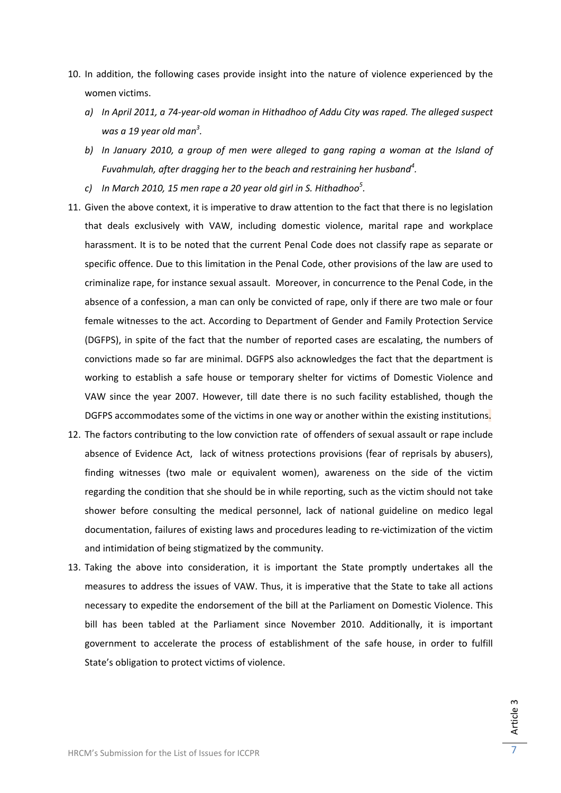- 10. In addition, the following cases provide insight into the nature of violence experienced by the women victims.
	- a) In April 2011, a 74-year-old woman in Hithadhoo of Addu City was raped. The alleged suspect *was a 19 year old man<sup>3</sup> .*
	- *b) In January 2010, a group of men were alleged to gang raping a woman at the Island of Fuvahmulah, after dragging her to the beach and restraining her husband<sup>4</sup> .*
	- *c) In March 2010, 15 men rape a 20 year old girl in S. Hithadhoo<sup>5</sup> .*
- 11. Given the above context, it is imperative to draw attention to the fact that there is no legislation that deals exclusively with VAW, including domestic violence, marital rape and workplace harassment. It is to be noted that the current Penal Code does not classify rape as separate or specific offence. Due to this limitation in the Penal Code, other provisions of the law are used to criminalize rape, for instance sexual assault. Moreover, in concurrence to the Penal Code, in the absence of a confession, a man can only be convicted of rape, only if there are two male or four female witnesses to the act. According to Department of Gender and Family Protection Service (DGFPS), in spite of the fact that the number of reported cases are escalating, the numbers of convictions made so far are minimal. DGFPS also acknowledges the fact that the department is working to establish a safe house or temporary shelter for victims of Domestic Violence and VAW since the year 2007. However, till date there is no such facility established, though the DGFPS accommodates some of the victims in one way or another within the existing institutions.
- 12. The factors contributing to the low conviction rate of offenders of sexual assault or rape include absence of Evidence Act, lack of witness protections provisions (fear of reprisals by abusers), finding witnesses (two male or equivalent women), awareness on the side of the victim regarding the condition that she should be in while reporting, such as the victim should not take shower before consulting the medical personnel, lack of national guideline on medico legal documentation, failures of existing laws and procedures leading to re‐victimization of the victim and intimidation of being stigmatized by the community.
- 13. Taking the above into consideration, it is important the State promptly undertakes all the measures to address the issues of VAW. Thus, it is imperative that the State to take all actions necessary to expedite the endorsement of the bill at the Parliament on Domestic Violence. This bill has been tabled at the Parliament since November 2010. Additionally, it is important government to accelerate the process of establishment of the safe house, in order to fulfill State's obligation to protect victims of violence.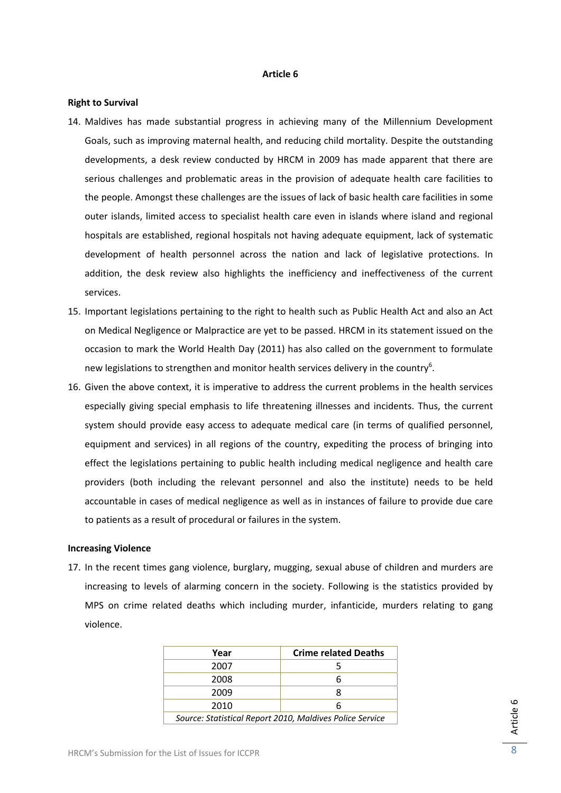## **Article 6**

## **Right to Survival**

- 14. Maldives has made substantial progress in achieving many of the Millennium Development Goals, such as improving maternal health, and reducing child mortality. Despite the outstanding developments, a desk review conducted by HRCM in 2009 has made apparent that there are serious challenges and problematic areas in the provision of adequate health care facilities to the people. Amongst these challenges are the issues of lack of basic health care facilities in some outer islands, limited access to specialist health care even in islands where island and regional hospitals are established, regional hospitals not having adequate equipment, lack of systematic development of health personnel across the nation and lack of legislative protections. In addition, the desk review also highlights the inefficiency and ineffectiveness of the current services.
- 15. Important legislations pertaining to the right to health such as Public Health Act and also an Act on Medical Negligence or Malpractice are yet to be passed. HRCM in its statement issued on the occasion to mark the World Health Day (2011) has also called on the government to formulate new legislations to strengthen and monitor health services delivery in the country<sup>6</sup>.
- 16. Given the above context, it is imperative to address the current problems in the health services especially giving special emphasis to life threatening illnesses and incidents. Thus, the current system should provide easy access to adequate medical care (in terms of qualified personnel, equipment and services) in all regions of the country, expediting the process of bringing into effect the legislations pertaining to public health including medical negligence and health care providers (both including the relevant personnel and also the institute) needs to be held accountable in cases of medical negligence as well as in instances of failure to provide due care to patients as a result of procedural or failures in the system.

## **Increasing Violence**

17. In the recent times gang violence, burglary, mugging, sexual abuse of children and murders are increasing to levels of alarming concern in the society. Following is the statistics provided by MPS on crime related deaths which including murder, infanticide, murders relating to gang violence.

| Year                                                     | <b>Crime related Deaths</b> |  |
|----------------------------------------------------------|-----------------------------|--|
| 2007                                                     |                             |  |
| 2008                                                     | 6                           |  |
| 2009                                                     | я                           |  |
| 2010                                                     | 6                           |  |
| Source: Statistical Report 2010, Maldives Police Service |                             |  |

Article 6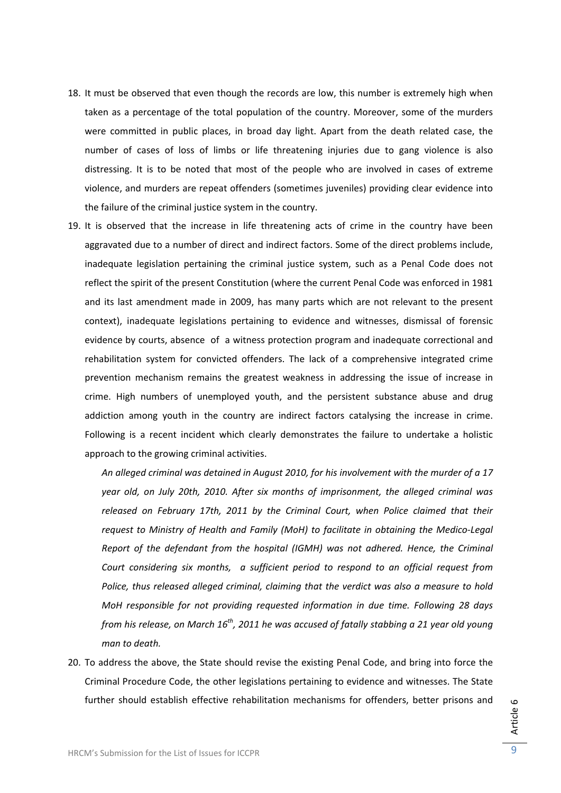- 18. It must be observed that even though the records are low, this number is extremely high when taken as a percentage of the total population of the country. Moreover, some of the murders were committed in public places, in broad day light. Apart from the death related case, the number of cases of loss of limbs or life threatening injuries due to gang violence is also distressing. It is to be noted that most of the people who are involved in cases of extreme violence, and murders are repeat offenders (sometimes juveniles) providing clear evidence into the failure of the criminal justice system in the country.
- 19. It is observed that the increase in life threatening acts of crime in the country have been aggravated due to a number of direct and indirect factors. Some of the direct problems include, inadequate legislation pertaining the criminal justice system, such as a Penal Code does not reflect the spirit of the present Constitution (where the current Penal Code was enforced in 1981 and its last amendment made in 2009, has many parts which are not relevant to the present context), inadequate legislations pertaining to evidence and witnesses, dismissal of forensic evidence by courts, absence of a witness protection program and inadequate correctional and rehabilitation system for convicted offenders. The lack of a comprehensive integrated crime prevention mechanism remains the greatest weakness in addressing the issue of increase in crime. High numbers of unemployed youth, and the persistent substance abuse and drug addiction among youth in the country are indirect factors catalysing the increase in crime. Following is a recent incident which clearly demonstrates the failure to undertake a holistic approach to the growing criminal activities.

*An alleged criminal was detained in August 2010, for his involvement with the murder of a 17 year old, on July 20th, 2010. After six months of imprisonment, the alleged criminal was released on February 17th, 2011 by the Criminal Court, when Police claimed that their request to Ministry of Health and Family (MoH) to facilitate in obtaining the Medico‐Legal Report of the defendant from the hospital (IGMH) was not adhered. Hence, the Criminal Court considering six months, a sufficient period to respond to an official request from Police, thus released alleged criminal, claiming that the verdict was also a measure to hold MoH responsible for not providing requested information in due time. Following 28 days* from his release, on March  $16^{th}$ , 2011 he was accused of fatally stabbing a 21 year old young *man to death.*

20. To address the above, the State should revise the existing Penal Code, and bring into force the Criminal Procedure Code, the other legislations pertaining to evidence and witnesses. The State further should establish effective rehabilitation mechanisms for offenders, better prisons and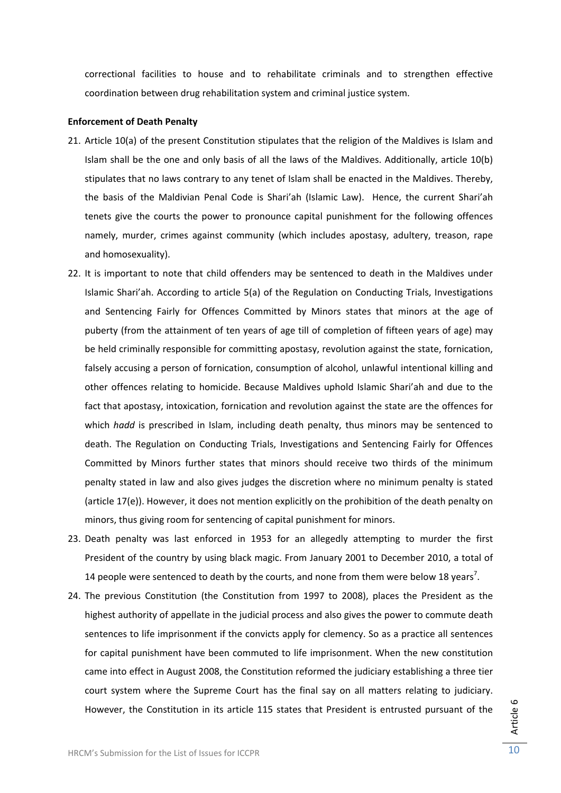correctional facilities to house and to rehabilitate criminals and to strengthen effective coordination between drug rehabilitation system and criminal justice system.

## **Enforcement of Death Penalty**

- 21. Article 10(a) of the present Constitution stipulates that the religion of the Maldives is Islam and Islam shall be the one and only basis of all the laws of the Maldives. Additionally, article 10(b) stipulates that no laws contrary to any tenet of Islam shall be enacted in the Maldives. Thereby, the basis of the Maldivian Penal Code is Shari'ah (Islamic Law). Hence, the current Shari'ah tenets give the courts the power to pronounce capital punishment for the following offences namely, murder, crimes against community (which includes apostasy, adultery, treason, rape and homosexuality).
- 22. It is important to note that child offenders may be sentenced to death in the Maldives under Islamic Shari'ah. According to article 5(a) of the Regulation on Conducting Trials, Investigations and Sentencing Fairly for Offences Committed by Minors states that minors at the age of puberty (from the attainment of ten years of age till of completion of fifteen years of age) may be held criminally responsible for committing apostasy, revolution against the state, fornication, falsely accusing a person of fornication, consumption of alcohol, unlawful intentional killing and other offences relating to homicide. Because Maldives uphold Islamic Shari'ah and due to the fact that apostasy, intoxication, fornication and revolution against the state are the offences for which *hadd* is prescribed in Islam, including death penalty, thus minors may be sentenced to death. The Regulation on Conducting Trials, Investigations and Sentencing Fairly for Offences Committed by Minors further states that minors should receive two thirds of the minimum penalty stated in law and also gives judges the discretion where no minimum penalty is stated (article 17(e)). However, it does not mention explicitly on the prohibition of the death penalty on minors, thus giving room for sentencing of capital punishment for minors.
- 23. Death penalty was last enforced in 1953 for an allegedly attempting to murder the first President of the country by using black magic. From January 2001 to December 2010, a total of 14 people were sentenced to death by the courts, and none from them were below 18 years<sup>7</sup>.
- 24. The previous Constitution (the Constitution from 1997 to 2008), places the President as the highest authority of appellate in the judicial process and also gives the power to commute death sentences to life imprisonment if the convicts apply for clemency. So as a practice all sentences for capital punishment have been commuted to life imprisonment. When the new constitution came into effect in August 2008, the Constitution reformed the judiciary establishing a three tier court system where the Supreme Court has the final say on all matters relating to judiciary. However, the Constitution in its article 115 states that President is entrusted pursuant of the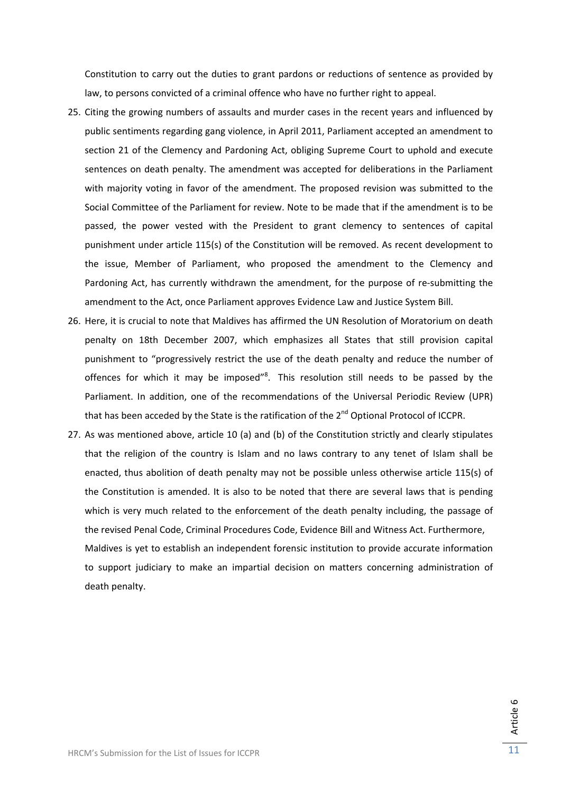Constitution to carry out the duties to grant pardons or reductions of sentence as provided by law, to persons convicted of a criminal offence who have no further right to appeal.

- 25. Citing the growing numbers of assaults and murder cases in the recent years and influenced by public sentiments regarding gang violence, in April 2011, Parliament accepted an amendment to section 21 of the Clemency and Pardoning Act, obliging Supreme Court to uphold and execute sentences on death penalty. The amendment was accepted for deliberations in the Parliament with majority voting in favor of the amendment. The proposed revision was submitted to the Social Committee of the Parliament for review. Note to be made that if the amendment is to be passed, the power vested with the President to grant clemency to sentences of capital punishment under article 115(s) of the Constitution will be removed. As recent development to the issue, Member of Parliament, who proposed the amendment to the Clemency and Pardoning Act, has currently withdrawn the amendment, for the purpose of re-submitting the amendment to the Act, once Parliament approves Evidence Law and Justice System Bill.
- 26. Here, it is crucial to note that Maldives has affirmed the UN Resolution of Moratorium on death penalty on 18th December 2007, which emphasizes all States that still provision capital punishment to "progressively restrict the use of the death penalty and reduce the number of offences for which it may be imposed"<sup>8</sup>. This resolution still needs to be passed by the Parliament. In addition, one of the recommendations of the Universal Periodic Review (UPR) that has been acceded by the State is the ratification of the  $2^{nd}$  Optional Protocol of ICCPR.
- 27. As was mentioned above, article 10 (a) and (b) of the Constitution strictly and clearly stipulates that the religion of the country is Islam and no laws contrary to any tenet of Islam shall be enacted, thus abolition of death penalty may not be possible unless otherwise article 115(s) of the Constitution is amended. It is also to be noted that there are several laws that is pending which is very much related to the enforcement of the death penalty including, the passage of the revised Penal Code, Criminal Procedures Code, Evidence Bill and Witness Act. Furthermore, Maldives is yet to establish an independent forensic institution to provide accurate information to support judiciary to make an impartial decision on matters concerning administration of death penalty.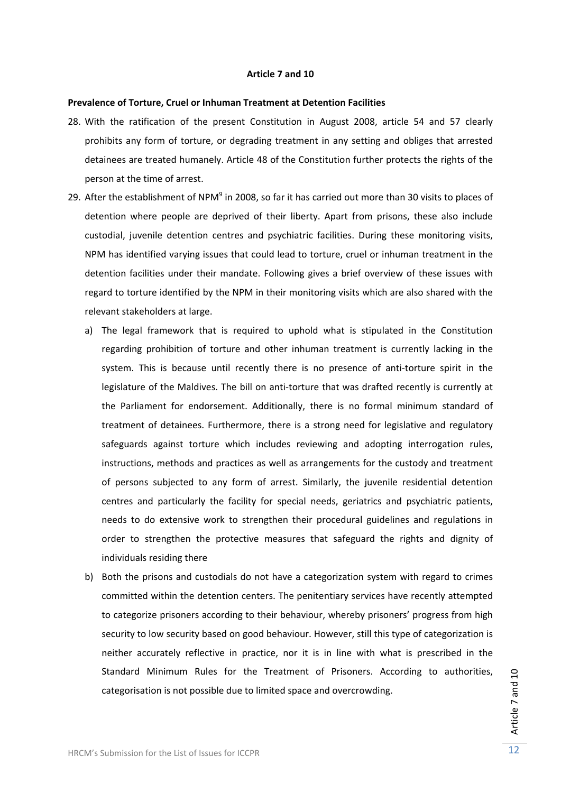## **Article 7 and 10**

#### **Prevalence of Torture, Cruel or Inhuman Treatment at Detention Facilities**

- 28. With the ratification of the present Constitution in August 2008, article 54 and 57 clearly prohibits any form of torture, or degrading treatment in any setting and obliges that arrested detainees are treated humanely. Article 48 of the Constitution further protects the rights of the person at the time of arrest.
- 29. After the establishment of NPM<sup>9</sup> in 2008, so far it has carried out more than 30 visits to places of detention where people are deprived of their liberty. Apart from prisons, these also include custodial, juvenile detention centres and psychiatric facilities. During these monitoring visits, NPM has identified varying issues that could lead to torture, cruel or inhuman treatment in the detention facilities under their mandate. Following gives a brief overview of these issues with regard to torture identified by the NPM in their monitoring visits which are also shared with the relevant stakeholders at large.
	- a) The legal framework that is required to uphold what is stipulated in the Constitution regarding prohibition of torture and other inhuman treatment is currently lacking in the system. This is because until recently there is no presence of anti-torture spirit in the legislature of the Maldives. The bill on anti‐torture that was drafted recently is currently at the Parliament for endorsement. Additionally, there is no formal minimum standard of treatment of detainees. Furthermore, there is a strong need for legislative and regulatory safeguards against torture which includes reviewing and adopting interrogation rules, instructions, methods and practices as well as arrangements for the custody and treatment of persons subjected to any form of arrest. Similarly, the juvenile residential detention centres and particularly the facility for special needs, geriatrics and psychiatric patients, needs to do extensive work to strengthen their procedural guidelines and regulations in order to strengthen the protective measures that safeguard the rights and dignity of individuals residing there
	- b) Both the prisons and custodials do not have a categorization system with regard to crimes committed within the detention centers. The penitentiary services have recently attempted to categorize prisoners according to their behaviour, whereby prisoners' progress from high security to low security based on good behaviour. However, still this type of categorization is neither accurately reflective in practice, nor it is in line with what is prescribed in the Standard Minimum Rules for the Treatment of Prisoners. According to authorities, categorisation is not possible due to limited space and overcrowding.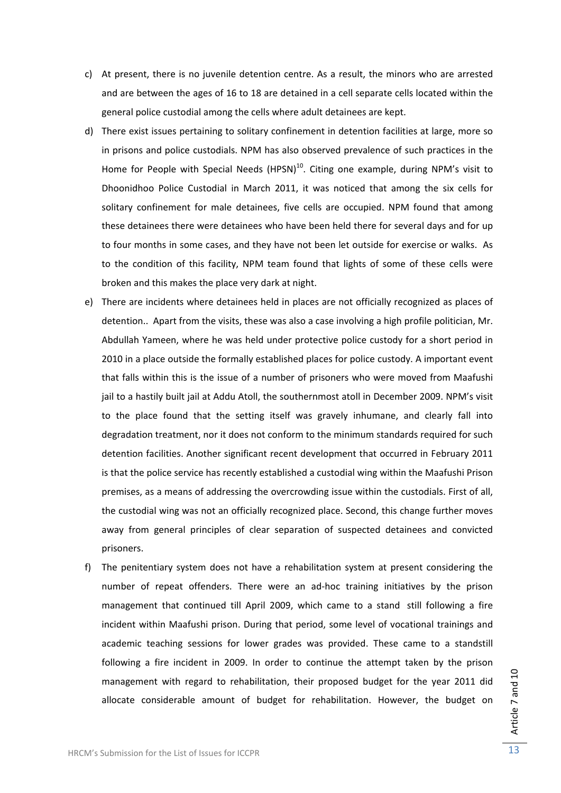- c) At present, there is no juvenile detention centre. As a result, the minors who are arrested and are between the ages of 16 to 18 are detained in a cell separate cells located within the general police custodial among the cells where adult detainees are kept.
- d) There exist issues pertaining to solitary confinement in detention facilities at large, more so in prisons and police custodials. NPM has also observed prevalence of such practices in the Home for People with Special Needs (HPSN)<sup>10</sup>. Citing one example, during NPM's visit to Dhoonidhoo Police Custodial in March 2011, it was noticed that among the six cells for solitary confinement for male detainees, five cells are occupied. NPM found that among these detainees there were detainees who have been held there for several days and for up to four months in some cases, and they have not been let outside for exercise or walks. As to the condition of this facility, NPM team found that lights of some of these cells were broken and this makes the place very dark at night.
- e) There are incidents where detainees held in places are not officially recognized as places of detention.. Apart from the visits, these was also a case involving a high profile politician, Mr. Abdullah Yameen, where he was held under protective police custody for a short period in 2010 in a place outside the formally established places for police custody. A important event that falls within this is the issue of a number of prisoners who were moved from Maafushi jail to a hastily built jail at Addu Atoll, the southernmost atoll in December 2009. NPM's visit to the place found that the setting itself was gravely inhumane, and clearly fall into degradation treatment, nor it does not conform to the minimum standards required for such detention facilities. Another significant recent development that occurred in February 2011 is that the police service has recently established a custodial wing within the Maafushi Prison premises, as a means of addressing the overcrowding issue within the custodials. First of all, the custodial wing was not an officially recognized place. Second, this change further moves away from general principles of clear separation of suspected detainees and convicted prisoners.
- f) The penitentiary system does not have a rehabilitation system at present considering the number of repeat offenders. There were an ad‐hoc training initiatives by the prison management that continued till April 2009, which came to a stand still following a fire incident within Maafushi prison. During that period, some level of vocational trainings and academic teaching sessions for lower grades was provided. These came to a standstill following a fire incident in 2009. In order to continue the attempt taken by the prison management with regard to rehabilitation, their proposed budget for the year 2011 did allocate considerable amount of budget for rehabilitation. However, the budget on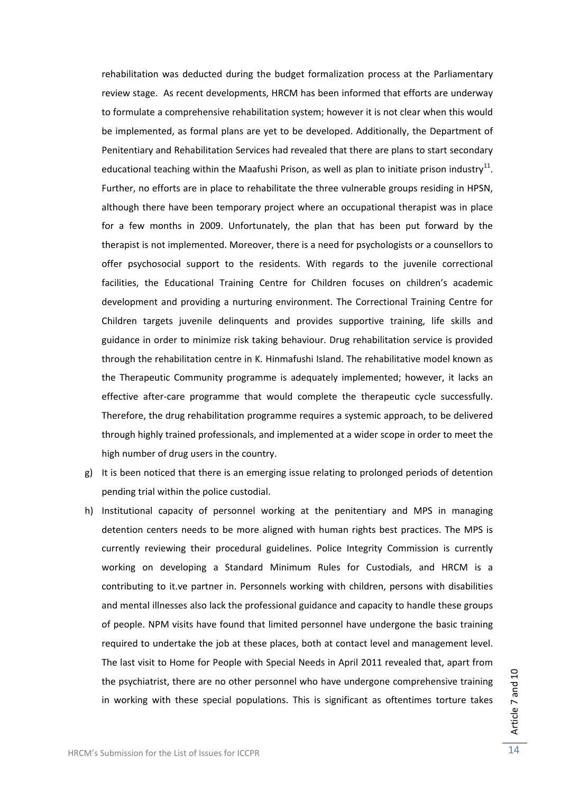rehabilitation was deducted during the budget formalization process at the Parliamentary review stage. As recent developments, HRCM has been informed that efforts are underway to formulate a comprehensive rehabilitation system; however it is not clear when this would be implemented, as formal plans are yet to be developed. Additionally, the Department of Penitentiary and Rehabilitation Services had revealed that there are plans to start secondary educational teaching within the Maafushi Prison, as well as plan to initiate prison industry<sup>11</sup>. Further, no efforts are in place to rehabilitate the three vulnerable groups residing in HPSN, although there have been temporary project where an occupational therapist was in place for a few months in 2009. Unfortunately, the plan that has been put forward by the therapist is not implemented. Moreover, there is a need for psychologists or a counsellors to offer psychosocial support to the residents. With regards to the juvenile correctional facilities, the Educational Training Centre for Children focuses on children's academic development and providing a nurturing environment. The Correctional Training Centre for Children targets juvenile delinquents and provides supportive training, life skills and guidance in order to minimize risk taking behaviour. Drug rehabilitation service is provided through the rehabilitation centre in K. Hinmafushi Island. The rehabilitative model known as the Therapeutic Community programme is adequately implemented; however, it lacks an effective after-care programme that would complete the therapeutic cycle successfully. Therefore, the drug rehabilitation programme requires a systemic approach, to be delivered through highly trained professionals, and implemented at a wider scope in order to meet the high number of drug users in the country.

- g) It is been noticed that there is an emerging issue relating to prolonged periods of detention pending trial within the police custodial.
- h) Institutional capacity of personnel working at the penitentiary and MPS in managing detention centers needs to be more aligned with human rights best practices. The MPS is currently reviewing their procedural guidelines. Police Integrity Commission is currently working on developing a Standard Minimum Rules for Custodials, and HRCM is a contributing to it.ve partner in. Personnels working with children, persons with disabilities and mental illnesses also lack the professional guidance and capacity to handle these groups of people. NPM visits have found that limited personnel have undergone the basic training required to undertake the job at these places, both at contact level and management level. The last visit to Home for People with Special Needs in April 2011 revealed that, apart from the psychiatrist, there are no other personnel who have undergone comprehensive training in working with these special populations. This is significant as oftentimes torture takes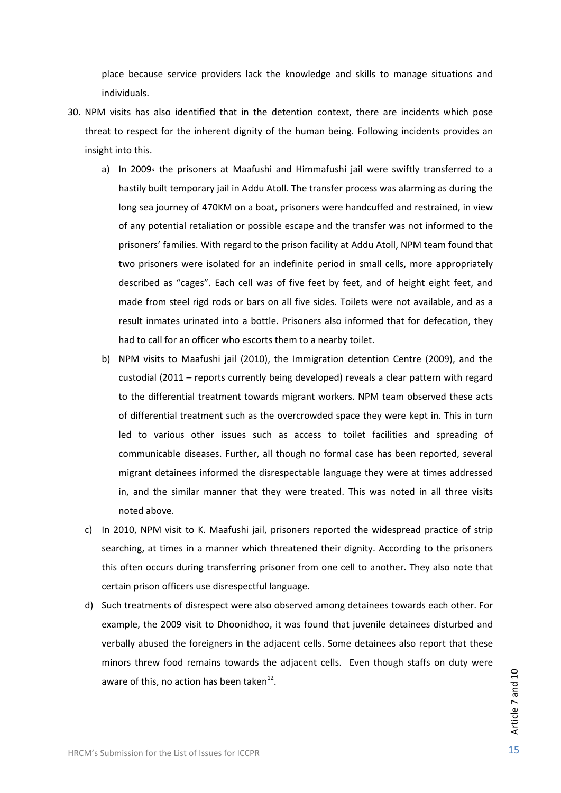place because service providers lack the knowledge and skills to manage situations and individuals.

- 30. NPM visits has also identified that in the detention context, there are incidents which pose threat to respect for the inherent dignity of the human being. Following incidents provides an insight into this.
	- a) In 2009 $\cdot$  the prisoners at Maafushi and Himmafushi jail were swiftly transferred to a hastily built temporary jail in Addu Atoll. The transfer process was alarming as during the long sea journey of 470KM on a boat, prisoners were handcuffed and restrained, in view of any potential retaliation or possible escape and the transfer was not informed to the prisoners' families. With regard to the prison facility at Addu Atoll, NPM team found that two prisoners were isolated for an indefinite period in small cells, more appropriately described as "cages". Each cell was of five feet by feet, and of height eight feet, and made from steel rigd rods or bars on all five sides. Toilets were not available, and as a result inmates urinated into a bottle. Prisoners also informed that for defecation, they had to call for an officer who escorts them to a nearby toilet.
	- b) NPM visits to Maafushi jail (2010), the Immigration detention Centre (2009), and the custodial (2011 – reports currently being developed) reveals a clear pattern with regard to the differential treatment towards migrant workers. NPM team observed these acts of differential treatment such as the overcrowded space they were kept in. This in turn led to various other issues such as access to toilet facilities and spreading of communicable diseases. Further, all though no formal case has been reported, several migrant detainees informed the disrespectable language they were at times addressed in, and the similar manner that they were treated. This was noted in all three visits noted above.
	- c) In 2010, NPM visit to K. Maafushi jail, prisoners reported the widespread practice of strip searching, at times in a manner which threatened their dignity. According to the prisoners this often occurs during transferring prisoner from one cell to another. They also note that certain prison officers use disrespectful language.
	- d) Such treatments of disrespect were also observed among detainees towards each other. For example, the 2009 visit to Dhoonidhoo, it was found that juvenile detainees disturbed and verbally abused the foreigners in the adjacent cells. Some detainees also report that these minors threw food remains towards the adjacent cells. Even though staffs on duty were aware of this, no action has been taken $^{12}$ .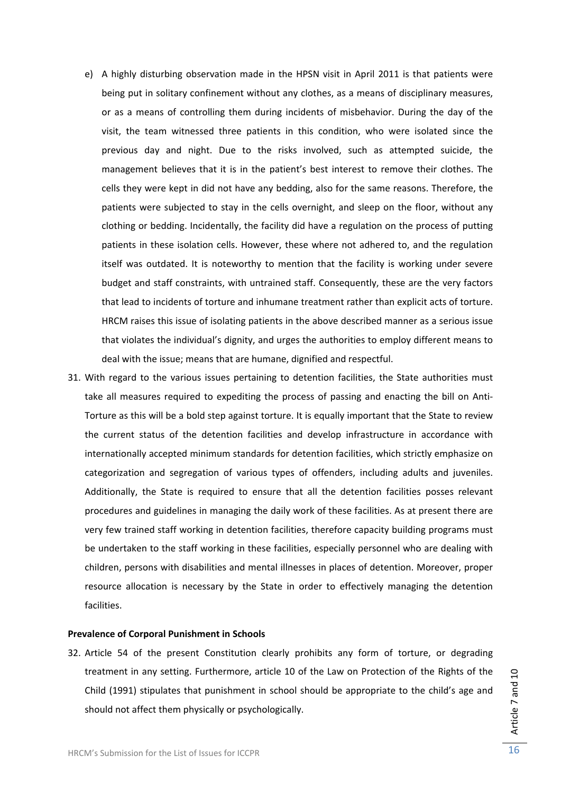- e) A highly disturbing observation made in the HPSN visit in April 2011 is that patients were being put in solitary confinement without any clothes, as a means of disciplinary measures, or as a means of controlling them during incidents of misbehavior. During the day of the visit, the team witnessed three patients in this condition, who were isolated since the previous day and night. Due to the risks involved, such as attempted suicide, the management believes that it is in the patient's best interest to remove their clothes. The cells they were kept in did not have any bedding, also for the same reasons. Therefore, the patients were subjected to stay in the cells overnight, and sleep on the floor, without any clothing or bedding. Incidentally, the facility did have a regulation on the process of putting patients in these isolation cells. However, these where not adhered to, and the regulation itself was outdated. It is noteworthy to mention that the facility is working under severe budget and staff constraints, with untrained staff. Consequently, these are the very factors that lead to incidents of torture and inhumane treatment rather than explicit acts of torture. HRCM raises this issue of isolating patients in the above described manner as a serious issue that violates the individual's dignity, and urges the authorities to employ different means to deal with the issue; means that are humane, dignified and respectful.
- 31. With regard to the various issues pertaining to detention facilities, the State authorities must take all measures required to expediting the process of passing and enacting the bill on Anti‐ Torture as this will be a bold step against torture. It is equally important that the State to review the current status of the detention facilities and develop infrastructure in accordance with internationally accepted minimum standards for detention facilities, which strictly emphasize on categorization and segregation of various types of offenders, including adults and juveniles. Additionally, the State is required to ensure that all the detention facilities posses relevant procedures and guidelines in managing the daily work of these facilities. As at present there are very few trained staff working in detention facilities, therefore capacity building programs must be undertaken to the staff working in these facilities, especially personnel who are dealing with children, persons with disabilities and mental illnesses in places of detention. Moreover, proper resource allocation is necessary by the State in order to effectively managing the detention facilities.

## **Prevalence of Corporal Punishment in Schools**

32. Article 54 of the present Constitution clearly prohibits any form of torture, or degrading treatment in any setting. Furthermore, article 10 of the Law on Protection of the Rights of the Child (1991) stipulates that punishment in school should be appropriate to the child's age and should not affect them physically or psychologically.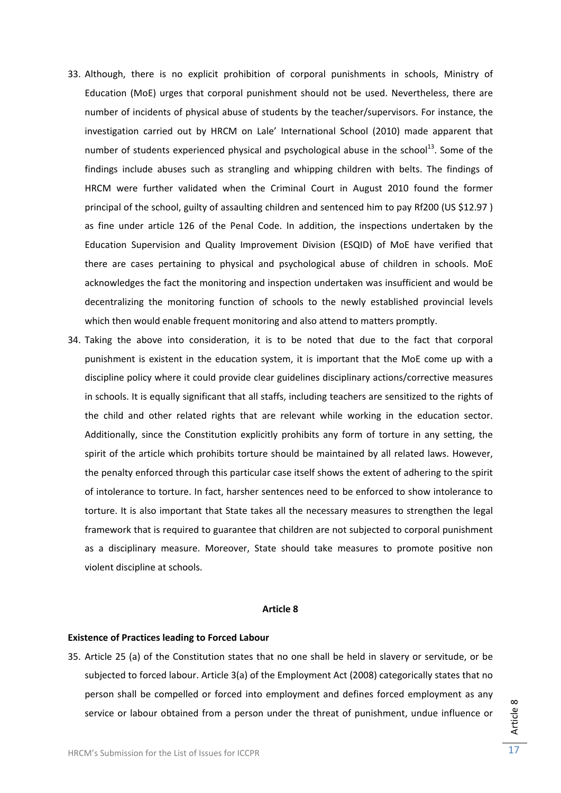- 33. Although, there is no explicit prohibition of corporal punishments in schools, Ministry of Education (MoE) urges that corporal punishment should not be used. Nevertheless, there are number of incidents of physical abuse of students by the teacher/supervisors. For instance, the investigation carried out by HRCM on Lale' International School (2010) made apparent that number of students experienced physical and psychological abuse in the school<sup>13</sup>. Some of the findings include abuses such as strangling and whipping children with belts. The findings of HRCM were further validated when the Criminal Court in August 2010 found the former principal of the school, guilty of assaulting children and sentenced him to pay Rf200 (US \$12.97 ) as fine under article 126 of the Penal Code. In addition, the inspections undertaken by the Education Supervision and Quality Improvement Division (ESQID) of MoE have verified that there are cases pertaining to physical and psychological abuse of children in schools. MoE acknowledges the fact the monitoring and inspection undertaken was insufficient and would be decentralizing the monitoring function of schools to the newly established provincial levels which then would enable frequent monitoring and also attend to matters promptly.
- 34. Taking the above into consideration, it is to be noted that due to the fact that corporal punishment is existent in the education system, it is important that the MoE come up with a discipline policy where it could provide clear guidelines disciplinary actions/corrective measures in schools. It is equally significant that all staffs, including teachers are sensitized to the rights of the child and other related rights that are relevant while working in the education sector. Additionally, since the Constitution explicitly prohibits any form of torture in any setting, the spirit of the article which prohibits torture should be maintained by all related laws. However, the penalty enforced through this particular case itself shows the extent of adhering to the spirit of intolerance to torture. In fact, harsher sentences need to be enforced to show intolerance to torture. It is also important that State takes all the necessary measures to strengthen the legal framework that is required to guarantee that children are not subjected to corporal punishment as a disciplinary measure. Moreover, State should take measures to promote positive non violent discipline at schools.

## **Article 8**

## **Existence of Practices leading to Forced Labour**

35. Article 25 (a) of the Constitution states that no one shall be held in slavery or servitude, or be subjected to forced labour. Article 3(a) of the Employment Act (2008) categorically states that no person shall be compelled or forced into employment and defines forced employment as any service or labour obtained from a person under the threat of punishment, undue influence or

Article  $^{\circ}$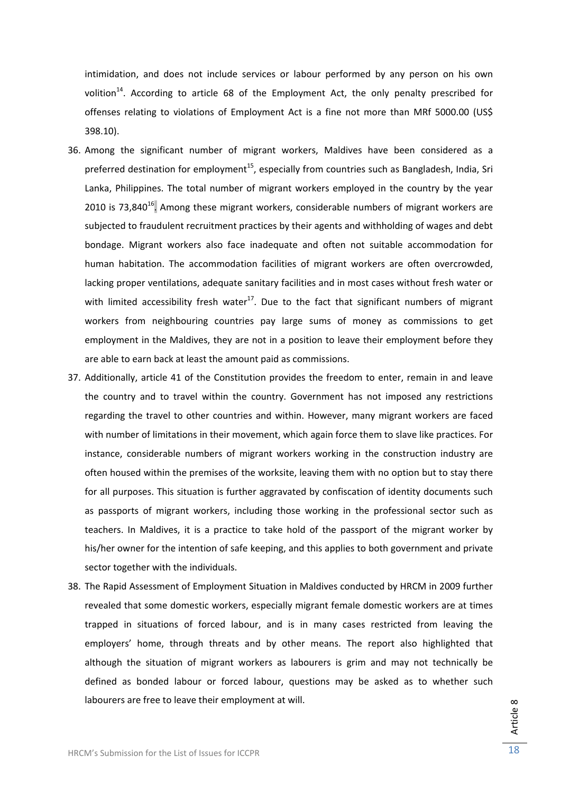intimidation, and does not include services or labour performed by any person on his own volition<sup>14</sup>. According to article 68 of the Employment Act, the only penalty prescribed for offenses relating to violations of Employment Act is a fine not more than MRf 5000.00 (US\$ 398.10).

- 36. Among the significant number of migrant workers, Maldives have been considered as a preferred destination for employment<sup>15</sup>, especially from countries such as Bangladesh, India, Sri Lanka, Philippines. The total number of migrant workers employed in the country by the year 2010 is 73,840 $^{16}$ . Among these migrant workers, considerable numbers of migrant workers are subjected to fraudulent recruitment practices by their agents and withholding of wages and debt bondage. Migrant workers also face inadequate and often not suitable accommodation for human habitation. The accommodation facilities of migrant workers are often overcrowded, lacking proper ventilations, adequate sanitary facilities and in most cases without fresh water or with limited accessibility fresh water<sup>17</sup>. Due to the fact that significant numbers of migrant workers from neighbouring countries pay large sums of money as commissions to get employment in the Maldives, they are not in a position to leave their employment before they are able to earn back at least the amount paid as commissions.
- 37. Additionally, article 41 of the Constitution provides the freedom to enter, remain in and leave the country and to travel within the country. Government has not imposed any restrictions regarding the travel to other countries and within. However, many migrant workers are faced with number of limitations in their movement, which again force them to slave like practices. For instance, considerable numbers of migrant workers working in the construction industry are often housed within the premises of the worksite, leaving them with no option but to stay there for all purposes. This situation is further aggravated by confiscation of identity documents such as passports of migrant workers, including those working in the professional sector such as teachers. In Maldives, it is a practice to take hold of the passport of the migrant worker by his/her owner for the intention of safe keeping, and this applies to both government and private sector together with the individuals.
- 38. The Rapid Assessment of Employment Situation in Maldives conducted by HRCM in 2009 further revealed that some domestic workers, especially migrant female domestic workers are at times trapped in situations of forced labour, and is in many cases restricted from leaving the employers' home, through threats and by other means. The report also highlighted that although the situation of migrant workers as labourers is grim and may not technically be defined as bonded labour or forced labour, questions may be asked as to whether such labourers are free to leave their employment at will.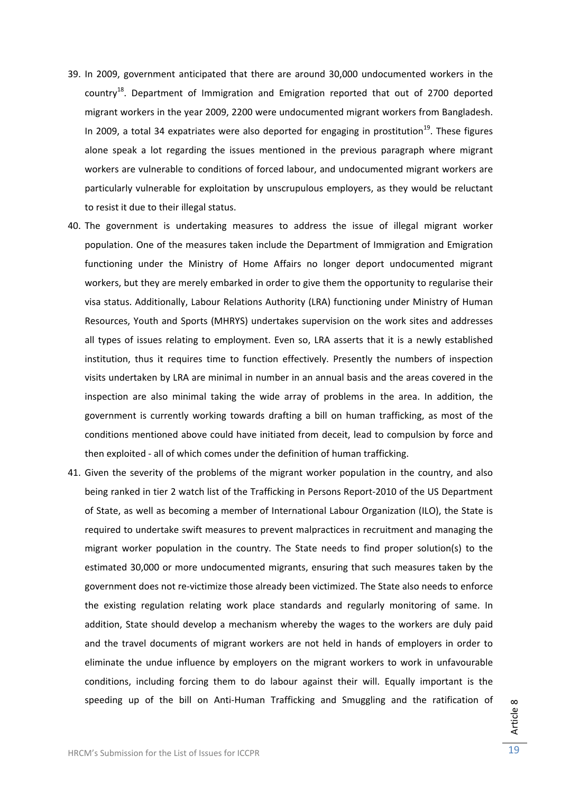- 39. In 2009, government anticipated that there are around 30,000 undocumented workers in the country<sup>18</sup>. Department of Immigration and Emigration reported that out of 2700 deported migrant workers in the year 2009, 2200 were undocumented migrant workers from Bangladesh. In 2009, a total 34 expatriates were also deported for engaging in prostitution<sup>19</sup>. These figures alone speak a lot regarding the issues mentioned in the previous paragraph where migrant workers are vulnerable to conditions of forced labour, and undocumented migrant workers are particularly vulnerable for exploitation by unscrupulous employers, as they would be reluctant to resist it due to their illegal status.
- 40. The government is undertaking measures to address the issue of illegal migrant worker population. One of the measures taken include the Department of Immigration and Emigration functioning under the Ministry of Home Affairs no longer deport undocumented migrant workers, but they are merely embarked in order to give them the opportunity to regularise their visa status. Additionally, Labour Relations Authority (LRA) functioning under Ministry of Human Resources, Youth and Sports (MHRYS) undertakes supervision on the work sites and addresses all types of issues relating to employment. Even so, LRA asserts that it is a newly established institution, thus it requires time to function effectively. Presently the numbers of inspection visits undertaken by LRA are minimal in number in an annual basis and the areas covered in the inspection are also minimal taking the wide array of problems in the area. In addition, the government is currently working towards drafting a bill on human trafficking, as most of the conditions mentioned above could have initiated from deceit, lead to compulsion by force and then exploited ‐ all of which comes under the definition of human trafficking.
- 41. Given the severity of the problems of the migrant worker population in the country, and also being ranked in tier 2 watch list of the Trafficking in Persons Report‐2010 of the US Department of State, as well as becoming a member of International Labour Organization (ILO), the State is required to undertake swift measures to prevent malpractices in recruitment and managing the migrant worker population in the country. The State needs to find proper solution(s) to the estimated 30,000 or more undocumented migrants, ensuring that such measures taken by the government does not re‐victimize those already been victimized. The State also needs to enforce the existing regulation relating work place standards and regularly monitoring of same. In addition, State should develop a mechanism whereby the wages to the workers are duly paid and the travel documents of migrant workers are not held in hands of employers in order to eliminate the undue influence by employers on the migrant workers to work in unfavourable conditions, including forcing them to do labour against their will. Equally important is the speeding up of the bill on Anti-Human Trafficking and Smuggling and the ratification of

Article  $^{\circ}$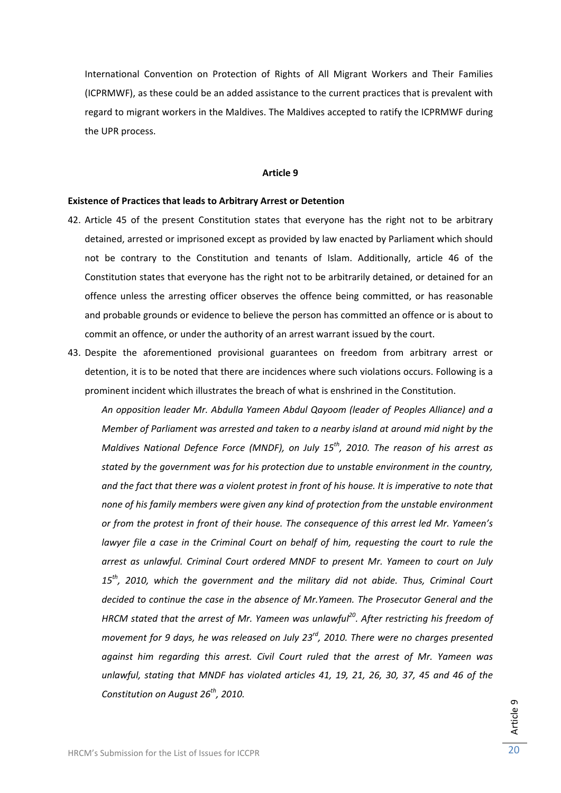International Convention on Protection of Rights of All Migrant Workers and Their Families (ICPRMWF), as these could be an added assistance to the current practices that is prevalent with regard to migrant workers in the Maldives. The Maldives accepted to ratify the ICPRMWF during the UPR process.

## **Article 9**

## **Existence of Practices that leads to Arbitrary Arrest or Detention**

- 42. Article 45 of the present Constitution states that everyone has the right not to be arbitrary detained, arrested or imprisoned except as provided by law enacted by Parliament which should not be contrary to the Constitution and tenants of Islam. Additionally, article 46 of the Constitution states that everyone has the right not to be arbitrarily detained, or detained for an offence unless the arresting officer observes the offence being committed, or has reasonable and probable grounds or evidence to believe the person has committed an offence or is about to commit an offence, or under the authority of an arrest warrant issued by the court.
- 43. Despite the aforementioned provisional guarantees on freedom from arbitrary arrest or detention, it is to be noted that there are incidences where such violations occurs. Following is a prominent incident which illustrates the breach of what is enshrined in the Constitution.

*An opposition leader Mr. Abdulla Yameen Abdul Qayoom (leader of Peoples Alliance) and a Member of Parliament was arrested and taken to a nearby island at around mid night by the Maldives National Defence Force (MNDF), on July 15th, 2010. The reason of his arrest as stated by the government was for his protection due to unstable environment in the country,* and the fact that there was a violent protest in front of his house. It is imperative to note that *none of his family members were given any kind of protection from the unstable environment or from the protest in front of their house. The consequence of this arrest led Mr. Yameen's lawyer file a case in the Criminal Court on behalf of him, requesting the court to rule the arrest as unlawful. Criminal Court ordered MNDF to present Mr. Yameen to court on July 15th, 2010, which the government and the military did not abide. Thus, Criminal Court decided to continue the case in the absence of Mr.Yameen. The Prosecutor General and the HRCM stated that the arrest of Mr. Yameen was unlawful20. After restricting his freedom of movement for 9 days, he was released on July 23rd, 2010. There were no charges presented against him regarding this arrest. Civil Court ruled that the arrest of Mr. Yameen was unlawful, stating that MNDF has violated articles 41, 19, 21, 26, 30, 37, 45 and 46 of the Constitution on August 26th, 2010.*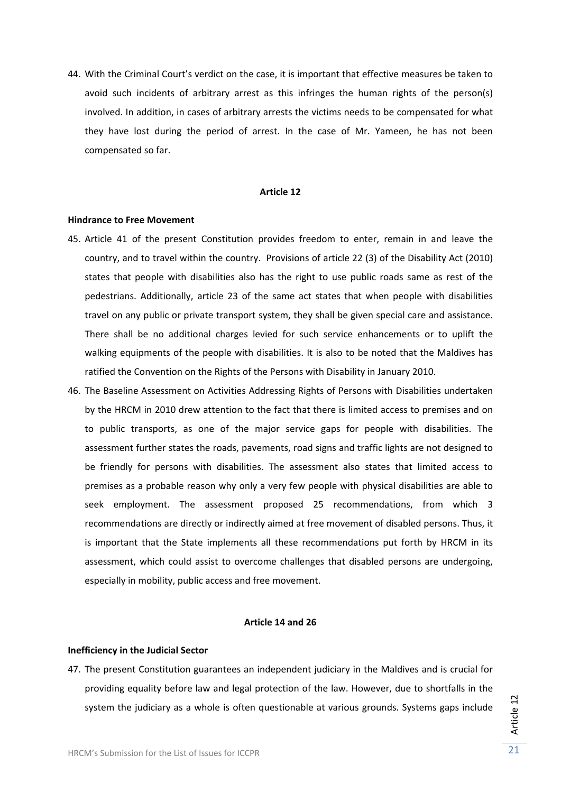44. With the Criminal Court's verdict on the case, it is important that effective measures be taken to avoid such incidents of arbitrary arrest as this infringes the human rights of the person(s) involved. In addition, in cases of arbitrary arrests the victims needs to be compensated for what they have lost during the period of arrest. In the case of Mr. Yameen, he has not been compensated so far.

## **Article 12**

#### **Hindrance to Free Movement**

- 45. Article 41 of the present Constitution provides freedom to enter, remain in and leave the country, and to travel within the country. Provisions of article 22 (3) of the Disability Act (2010) states that people with disabilities also has the right to use public roads same as rest of the pedestrians. Additionally, article 23 of the same act states that when people with disabilities travel on any public or private transport system, they shall be given special care and assistance. There shall be no additional charges levied for such service enhancements or to uplift the walking equipments of the people with disabilities. It is also to be noted that the Maldives has ratified the Convention on the Rights of the Persons with Disability in January 2010.
- 46. The Baseline Assessment on Activities Addressing Rights of Persons with Disabilities undertaken by the HRCM in 2010 drew attention to the fact that there is limited access to premises and on to public transports, as one of the major service gaps for people with disabilities. The assessment further states the roads, pavements, road signs and traffic lights are not designed to be friendly for persons with disabilities. The assessment also states that limited access to premises as a probable reason why only a very few people with physical disabilities are able to seek employment. The assessment proposed 25 recommendations, from which 3 recommendations are directly or indirectly aimed at free movement of disabled persons. Thus, it is important that the State implements all these recommendations put forth by HRCM in its assessment, which could assist to overcome challenges that disabled persons are undergoing, especially in mobility, public access and free movement.

## **Article 14 and 26**

#### **Inefficiency in the Judicial Sector**

47. The present Constitution guarantees an independent judiciary in the Maldives and is crucial for providing equality before law and legal protection of the law. However, due to shortfalls in the system the judiciary as a whole is often questionable at various grounds. Systems gaps include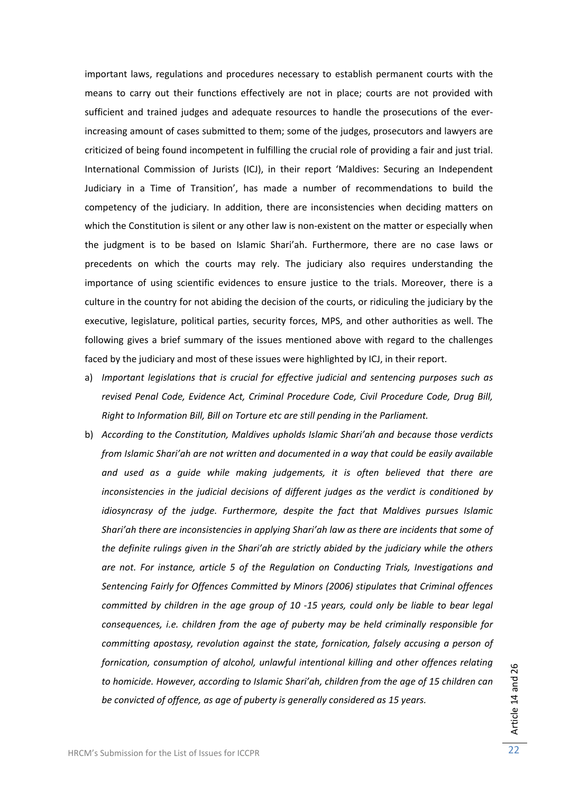important laws, regulations and procedures necessary to establish permanent courts with the means to carry out their functions effectively are not in place; courts are not provided with sufficient and trained judges and adequate resources to handle the prosecutions of the ever‐ increasing amount of cases submitted to them; some of the judges, prosecutors and lawyers are criticized of being found incompetent in fulfilling the crucial role of providing a fair and just trial. International Commission of Jurists (ICJ), in their report 'Maldives: Securing an Independent Judiciary in a Time of Transition', has made a number of recommendations to build the competency of the judiciary. In addition, there are inconsistencies when deciding matters on which the Constitution is silent or any other law is non-existent on the matter or especially when the judgment is to be based on Islamic Shari'ah. Furthermore, there are no case laws or precedents on which the courts may rely. The judiciary also requires understanding the importance of using scientific evidences to ensure justice to the trials. Moreover, there is a culture in the country for not abiding the decision of the courts, or ridiculing the judiciary by the executive, legislature, political parties, security forces, MPS, and other authorities as well. The following gives a brief summary of the issues mentioned above with regard to the challenges faced by the judiciary and most of these issues were highlighted by ICJ, in their report.

- a) *Important legislations that is crucial for effective judicial and sentencing purposes such as revised Penal Code, Evidence Act, Criminal Procedure Code, Civil Procedure Code, Drug Bill, Right to Information Bill, Bill on Torture etc are still pending in the Parliament.*
- b) *According to the Constitution, Maldives upholds Islamic Shari'ah and because those verdicts from Islamic Shari'ah are not written and documented in a way that could be easily available and used as a guide while making judgements, it is often believed that there are inconsistencies in the judicial decisions of different judges as the verdict is conditioned by idiosyncrasy of the judge. Furthermore, despite the fact that Maldives pursues Islamic Shari'ah there are inconsistencies in applying Shari'ah law as there are incidents that some of the definite rulings given in the Shari'ah are strictly abided by the judiciary while the others are not. For instance, article 5 of the Regulation on Conducting Trials, Investigations and Sentencing Fairly for Offences Committed by Minors (2006) stipulates that Criminal offences committed by children in the age group of 10 ‐15 years, could only be liable to bear legal consequences, i.e. children from the age of puberty may be held criminally responsible for committing apostasy, revolution against the state, fornication, falsely accusing a person of fornication, consumption of alcohol, unlawful intentional killing and other offences relating to homicide. However, according to Islamic Shari'ah, children from the age of 15 children can be convicted of offence, as age of puberty is generally considered as 15 years.*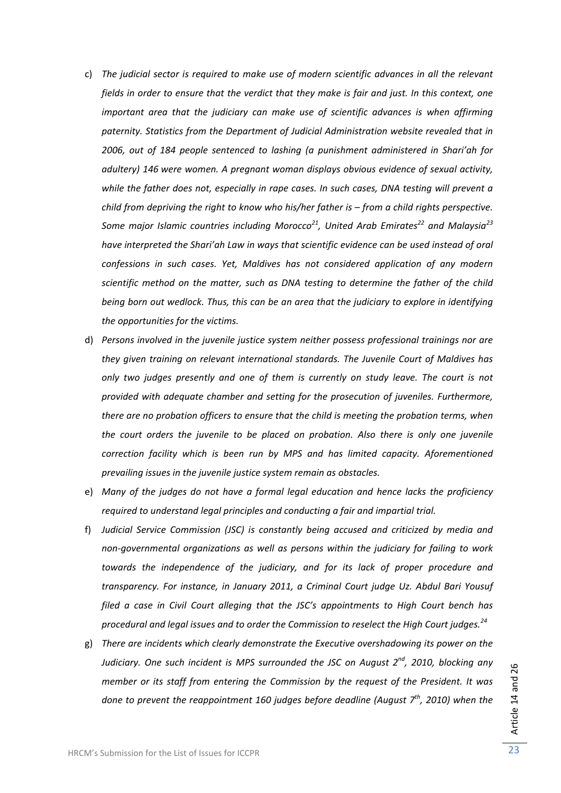- c) *The judicial sector is required to make use of modern scientific advances in all the relevant* fields in order to ensure that the verdict that they make is fair and just. In this context, one *important area that the judiciary can make use of scientific advances is when affirming paternity. Statistics from the Department of Judicial Administration website revealed that in 2006, out of 184 people sentenced to lashing (a punishment administered in Shari'ah for adultery) 146 were women. A pregnant woman displays obvious evidence of sexual activity, while the father does not, especially in rape cases. In such cases, DNA testing will prevent a child from depriving the right to know who his/her father is – from a child rights perspective. Some major Islamic countries including Morocco21, United Arab Emirates<sup>22</sup> and Malaysia<sup>23</sup> have interpreted the Shari'ah Law in ways that scientific evidence can be used instead of oral confessions in such cases. Yet, Maldives has not considered application of any modern scientific method on the matter, such as DNA testing to determine the father of the child being born out wedlock. Thus, this can be an area that the judiciary to explore in identifying the opportunities for the victims.*
- d) *Persons involved in the juvenile justice system neither possess professional trainings nor are they given training on relevant international standards. The Juvenile Court of Maldives has only two judges presently and one of them is currently on study leave. The court is not provided with adequate chamber and setting for the prosecution of juveniles. Furthermore, there are no probation officers to ensure that the child is meeting the probation terms, when the court orders the juvenile to be placed on probation. Also there is only one juvenile correction facility which is been run by MPS and has limited capacity. Aforementioned prevailing issues in the juvenile justice system remain as obstacles.*
- e) *Many of the judges do not have a formal legal education and hence lacks the proficiency required to understand legal principles and conducting a fair and impartial trial.*
- f) *Judicial Service Commission (JSC) is constantly being accused and criticized by media and non‐governmental organizations as well as persons within the judiciary for failing to work towards the independence of the judiciary, and for its lack of proper procedure and transparency. For instance, in January 2011, a Criminal Court judge Uz. Abdul Bari Yousuf filed a case in Civil Court alleging that the JSC's appointments to High Court bench has procedural and legal issues and to order the Commission to reselect the High Court judges.<sup>24</sup>*
- g) *There are incidents which clearly demonstrate the Executive overshadowing its power on the Judiciary. One such incident is MPS surrounded the JSC on August 2nd, 2010, blocking any member or its staff from entering the Commission by the request of the President. It was done to prevent the reappointment 160 judges before deadline (August 7th, 2010) when the*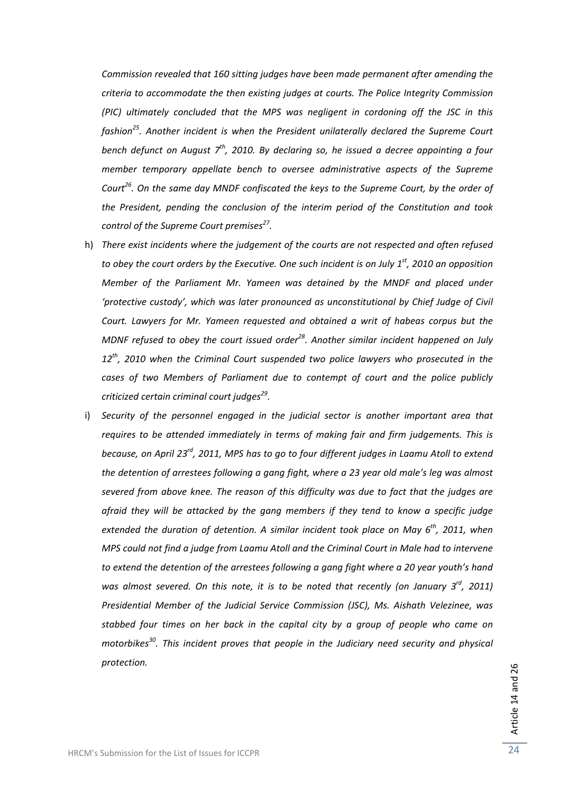*Commission revealed that 160 sitting judges have been made permanent after amending the criteria to accommodate the then existing judges at courts. The Police Integrity Commission (PIC) ultimately concluded that the MPS was negligent in cordoning off the JSC in this fashion25. Another incident is when the President unilaterally declared the Supreme Court bench defunct on August 7th, 2010. By declaring so, he issued a decree appointing a four member temporary appellate bench to oversee administrative aspects of the Supreme Court26. On the same day MNDF confiscated the keys to the Supreme Court, by the order of the President, pending the conclusion of the interim period of the Constitution and took control of the Supreme Court premises27.*

- h) *There exist incidents where the judgement of the courts are not respected and often refused* to obey the court orders by the Executive. One such incident is on July  $1<sup>st</sup>$ , 2010 an opposition *Member of the Parliament Mr. Yameen was detained by the MNDF and placed under 'protective custody', which was later pronounced as unconstitutional by Chief Judge of Civil Court. Lawyers for Mr. Yameen requested and obtained a writ of habeas corpus but the MDNF refused to obey the court issued order28. Another similar incident happened on July 12th, 2010 when the Criminal Court suspended two police lawyers who prosecuted in the cases of two Members of Parliament due to contempt of court and the police publicly criticized certain criminal court judges29.*
- i) *Security of the personnel engaged in the judicial sector is another important area that requires to be attended immediately in terms of making fair and firm judgements. This is* because, on April 23<sup>rd</sup>, 2011, MPS has to go to four different judges in Laamu Atoll to extend *the detention of arrestees following a gang fight, where a 23 year old male's leg was almost severed from above knee. The reason of this difficulty was due to fact that the judges are afraid they will be attacked by the gang members if they tend to know a specific judge extended the duration of detention. A similar incident took place on May 6th, 2011, when MPS could not find a judge from Laamu Atoll and the Criminal Court in Male had to intervene to extend the detention of the arrestees following a gang fight where a 20 year youth's hand was almost severed. On this note, it is to be noted that recently (on January 3rd, 2011) Presidential Member of the Judicial Service Commission (JSC), Ms. Aishath Velezinee, was stabbed four times on her back in the capital city by a group of people who came on motorbikes30. This incident proves that people in the Judiciary need security and physical protection.*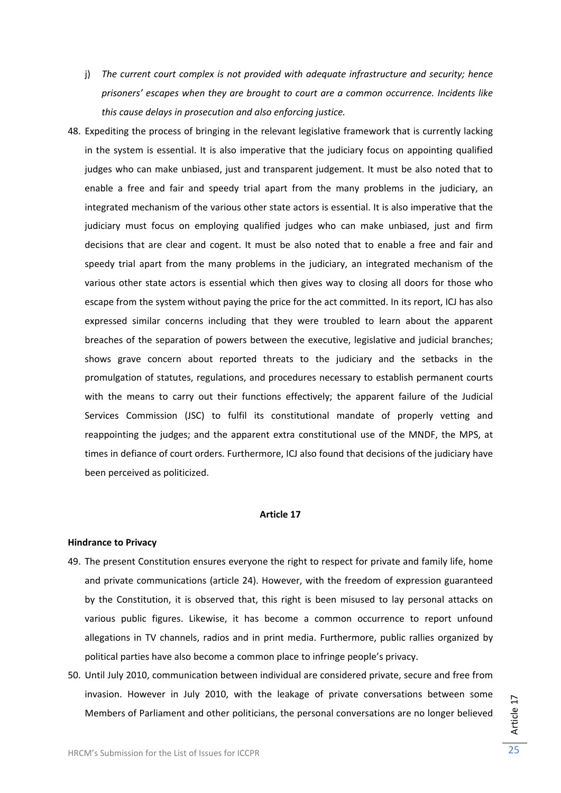- j) *The current court complex is not provided with adequate infrastructure and security; hence prisoners' escapes when they are brought to court are a common occurrence. Incidents like this cause delays in prosecution and also enforcing justice.*
- 48. Expediting the process of bringing in the relevant legislative framework that is currently lacking in the system is essential. It is also imperative that the judiciary focus on appointing qualified judges who can make unbiased, just and transparent judgement. It must be also noted that to enable a free and fair and speedy trial apart from the many problems in the judiciary, an integrated mechanism of the various other state actors is essential. It is also imperative that the judiciary must focus on employing qualified judges who can make unbiased, just and firm decisions that are clear and cogent. It must be also noted that to enable a free and fair and speedy trial apart from the many problems in the judiciary, an integrated mechanism of the various other state actors is essential which then gives way to closing all doors for those who escape from the system without paying the price for the act committed. In its report, ICJ has also expressed similar concerns including that they were troubled to learn about the apparent breaches of the separation of powers between the executive, legislative and judicial branches; shows grave concern about reported threats to the judiciary and the setbacks in the promulgation of statutes, regulations, and procedures necessary to establish permanent courts with the means to carry out their functions effectively; the apparent failure of the Judicial Services Commission (JSC) to fulfil its constitutional mandate of properly vetting and reappointing the judges; and the apparent extra constitutional use of the MNDF, the MPS, at times in defiance of court orders. Furthermore, ICJ also found that decisions of the judiciary have been perceived as politicized.

#### **Article 17**

## **Hindrance to Privacy**

- 49. The present Constitution ensures everyone the right to respect for private and family life, home and private communications (article 24). However, with the freedom of expression guaranteed by the Constitution, it is observed that, this right is been misused to lay personal attacks on various public figures. Likewise, it has become a common occurrence to report unfound allegations in TV channels, radios and in print media. Furthermore, public rallies organized by political parties have also become a common place to infringe people's privacy.
- 50. Until July 2010, communication between individual are considered private, secure and free from invasion. However in July 2010, with the leakage of private conversations between some Members of Parliament and other politicians, the personal conversations are no longer believed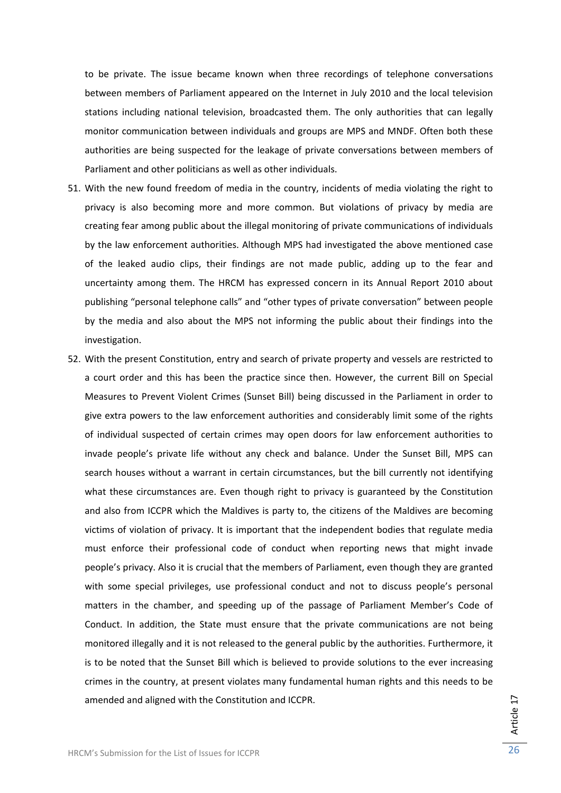to be private. The issue became known when three recordings of telephone conversations between members of Parliament appeared on the Internet in July 2010 and the local television stations including national television, broadcasted them. The only authorities that can legally monitor communication between individuals and groups are MPS and MNDF. Often both these authorities are being suspected for the leakage of private conversations between members of Parliament and other politicians as well as other individuals.

- 51. With the new found freedom of media in the country, incidents of media violating the right to privacy is also becoming more and more common. But violations of privacy by media are creating fear among public about the illegal monitoring of private communications of individuals by the law enforcement authorities. Although MPS had investigated the above mentioned case of the leaked audio clips, their findings are not made public, adding up to the fear and uncertainty among them. The HRCM has expressed concern in its Annual Report 2010 about publishing "personal telephone calls" and "other types of private conversation" between people by the media and also about the MPS not informing the public about their findings into the investigation.
- 52. With the present Constitution, entry and search of private property and vessels are restricted to a court order and this has been the practice since then. However, the current Bill on Special Measures to Prevent Violent Crimes (Sunset Bill) being discussed in the Parliament in order to give extra powers to the law enforcement authorities and considerably limit some of the rights of individual suspected of certain crimes may open doors for law enforcement authorities to invade people's private life without any check and balance. Under the Sunset Bill, MPS can search houses without a warrant in certain circumstances, but the bill currently not identifying what these circumstances are. Even though right to privacy is guaranteed by the Constitution and also from ICCPR which the Maldives is party to, the citizens of the Maldives are becoming victims of violation of privacy. It is important that the independent bodies that regulate media must enforce their professional code of conduct when reporting news that might invade people's privacy. Also it is crucial that the members of Parliament, even though they are granted with some special privileges, use professional conduct and not to discuss people's personal matters in the chamber, and speeding up of the passage of Parliament Member's Code of Conduct. In addition, the State must ensure that the private communications are not being monitored illegally and it is not released to the general public by the authorities. Furthermore, it is to be noted that the Sunset Bill which is believed to provide solutions to the ever increasing crimes in the country, at present violates many fundamental human rights and this needs to be amended and aligned with the Constitution and ICCPR.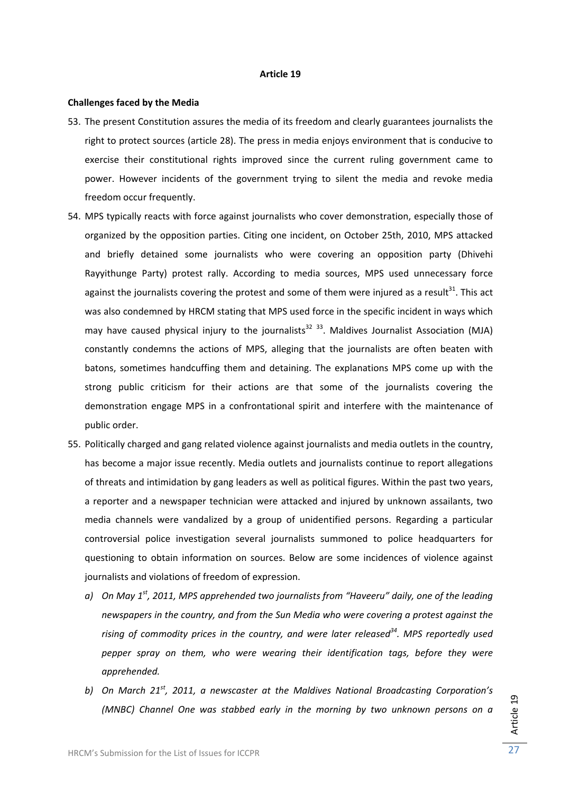#### **Article 19**

## **Challenges faced by the Media**

- 53. The present Constitution assures the media of its freedom and clearly guarantees journalists the right to protect sources (article 28). The press in media enjoys environment that is conducive to exercise their constitutional rights improved since the current ruling government came to power. However incidents of the government trying to silent the media and revoke media freedom occur frequently.
- 54. MPS typically reacts with force against journalists who cover demonstration, especially those of organized by the opposition parties. Citing one incident, on October 25th, 2010, MPS attacked and briefly detained some journalists who were covering an opposition party (Dhivehi Rayyithunge Party) protest rally. According to media sources, MPS used unnecessary force against the journalists covering the protest and some of them were injured as a result<sup>31</sup>. This act was also condemned by HRCM stating that MPS used force in the specific incident in ways which may have caused physical injury to the journalists $^{32}$   $^{33}$ . Maldives Journalist Association (MJA) constantly condemns the actions of MPS, alleging that the journalists are often beaten with batons, sometimes handcuffing them and detaining. The explanations MPS come up with the strong public criticism for their actions are that some of the journalists covering the demonstration engage MPS in a confrontational spirit and interfere with the maintenance of public order.
- 55. Politically charged and gang related violence against journalists and media outlets in the country, has become a major issue recently. Media outlets and journalists continue to report allegations of threats and intimidation by gang leaders as well as political figures. Within the past two years, a reporter and a newspaper technician were attacked and injured by unknown assailants, two media channels were vandalized by a group of unidentified persons. Regarding a particular controversial police investigation several journalists summoned to police headquarters for questioning to obtain information on sources. Below are some incidences of violence against journalists and violations of freedom of expression.
	- *a) On May 1st, 2011, MPS apprehended two journalists from "Haveeru" daily, one of the leading newspapers in the country, and from the Sun Media who were covering a protest against the rising of commodity prices in the country, and were later released34. MPS reportedly used pepper spray on them, who were wearing their identification tags, before they were apprehended.*
	- *b) On March 21st, 2011, a newscaster at the Maldives National Broadcasting Corporation's (MNBC) Channel One was stabbed early in the morning by two unknown persons on a*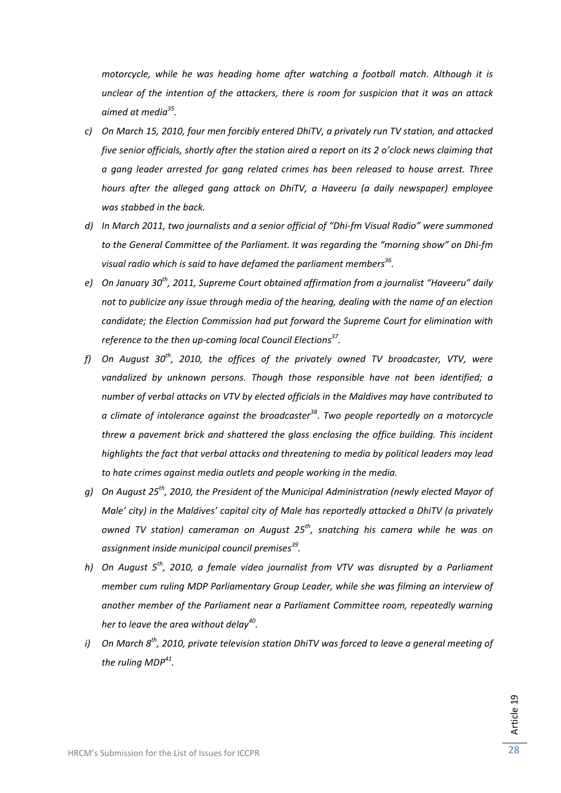*motorcycle, while he was heading home after watching a football match. Although it is unclear of the intention of the attackers, there is room for suspicion that it was an attack aimed at media35.*

- *c) On March 15, 2010, four men forcibly entered DhiTV, a privately run TV station, and attacked five senior officials, shortly after the station aired a report on its 2 o'clock news claiming that a gang leader arrested for gang related crimes has been released to house arrest. Three hours after the alleged gang attack on DhiTV, a Haveeru (a daily newspaper) employee was stabbed in the back.*
- *d) In March 2011, two journalists and a senior official of "Dhi‐fm Visual Radio" were summoned to the General Committee of the Parliament. It was regarding the "morning show" on Dhi‐fm visual radio which is said to have defamed the parliament members36.*
- *e) On January 30th, 2011, Supreme Court obtained affirmation from a journalist "Haveeru" daily not to publicize any issue through media of the hearing, dealing with the name of an election candidate; the Election Commission had put forward the Supreme Court for elimination with reference to the then up‐coming local Council Elections37.*
- *f) On August 30th, 2010, the offices of the privately owned TV broadcaster, VTV, were vandalized by unknown persons. Though those responsible have not been identified; a number of verbal attacks on VTV by elected officials in the Maldives may have contributed to a climate of intolerance against the broadcaster<sup>38</sup>*. *Two people reportedly on a motorcycle threw a pavement brick and shattered the glass enclosing the office building. This incident highlights the fact that verbal attacks and threatening to media by political leaders may lead to hate crimes against media outlets and people working in the media.*
- *g) On August 25th, 2010, the President of the Municipal Administration (newly elected Mayor of Male' city) in the Maldives' capital city of Male has reportedly attacked a DhiTV (a privately owned TV station) cameraman on August 25th, snatching his camera while he was on assignment inside municipal council premises39.*
- *h) On August 5th, 2010, a female video journalist from VTV was disrupted by a Parliament member cum ruling MDP Parliamentary Group Leader, while she was filming an interview of another member of the Parliament near a Parliament Committee room, repeatedly warning her to leave the area without delay40.*
- *i) On March 8th, 2010, private television station DhiTV was forced to leave a general meeting of the ruling MDP41.*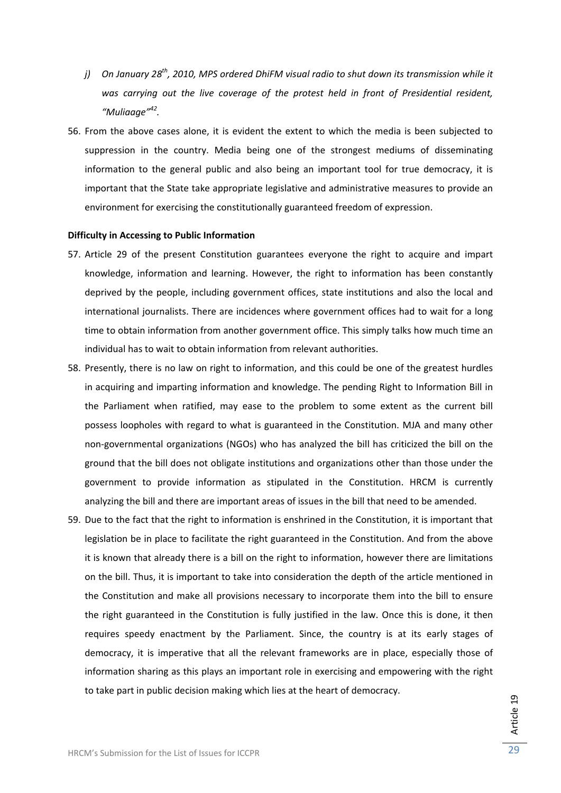- *j) On January 28th, 2010, MPS ordered DhiFM visual radio to shut down its transmission while it was carrying out the live coverage of the protest held in front of Presidential resident, "Muliaage"42.*
- 56. From the above cases alone, it is evident the extent to which the media is been subjected to suppression in the country. Media being one of the strongest mediums of disseminating information to the general public and also being an important tool for true democracy, it is important that the State take appropriate legislative and administrative measures to provide an environment for exercising the constitutionally guaranteed freedom of expression.

## **Difficulty in Accessing to Public Information**

- 57. Article 29 of the present Constitution guarantees everyone the right to acquire and impart knowledge, information and learning. However, the right to information has been constantly deprived by the people, including government offices, state institutions and also the local and international journalists. There are incidences where government offices had to wait for a long time to obtain information from another government office. This simply talks how much time an individual has to wait to obtain information from relevant authorities.
- 58. Presently, there is no law on right to information, and this could be one of the greatest hurdles in acquiring and imparting information and knowledge. The pending Right to Information Bill in the Parliament when ratified, may ease to the problem to some extent as the current bill possess loopholes with regard to what is guaranteed in the Constitution. MJA and many other non‐governmental organizations (NGOs) who has analyzed the bill has criticized the bill on the ground that the bill does not obligate institutions and organizations other than those under the government to provide information as stipulated in the Constitution. HRCM is currently analyzing the bill and there are important areas of issues in the bill that need to be amended.
- 59. Due to the fact that the right to information is enshrined in the Constitution, it is important that legislation be in place to facilitate the right guaranteed in the Constitution. And from the above it is known that already there is a bill on the right to information, however there are limitations on the bill. Thus, it is important to take into consideration the depth of the article mentioned in the Constitution and make all provisions necessary to incorporate them into the bill to ensure the right guaranteed in the Constitution is fully justified in the law. Once this is done, it then requires speedy enactment by the Parliament. Since, the country is at its early stages of democracy, it is imperative that all the relevant frameworks are in place, especially those of information sharing as this plays an important role in exercising and empowering with the right to take part in public decision making which lies at the heart of democracy.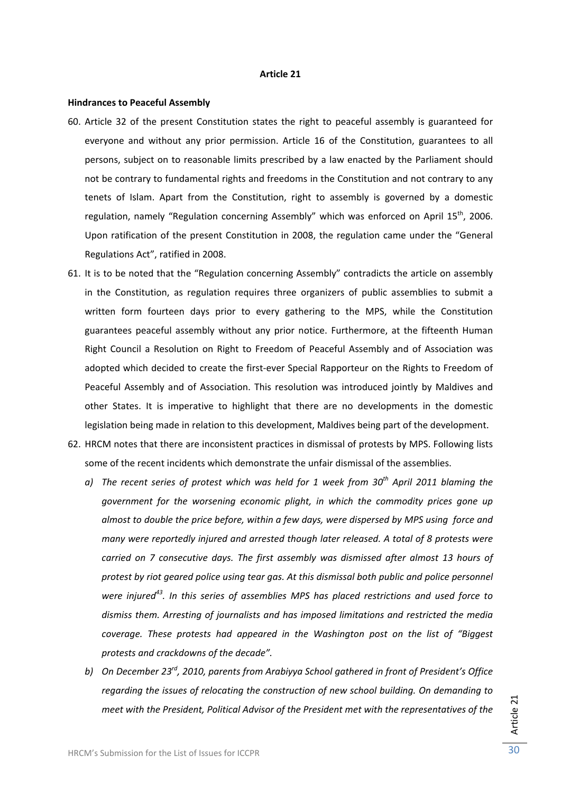#### **Article 21**

#### **Hindrances to Peaceful Assembly**

- 60. Article 32 of the present Constitution states the right to peaceful assembly is guaranteed for everyone and without any prior permission. Article 16 of the Constitution, guarantees to all persons, subject on to reasonable limits prescribed by a law enacted by the Parliament should not be contrary to fundamental rights and freedoms in the Constitution and not contrary to any tenets of Islam. Apart from the Constitution, right to assembly is governed by a domestic regulation, namely "Regulation concerning Assembly" which was enforced on April 15<sup>th</sup>, 2006. Upon ratification of the present Constitution in 2008, the regulation came under the "General Regulations Act", ratified in 2008.
- 61. It is to be noted that the "Regulation concerning Assembly" contradicts the article on assembly in the Constitution, as regulation requires three organizers of public assemblies to submit a written form fourteen days prior to every gathering to the MPS, while the Constitution guarantees peaceful assembly without any prior notice. Furthermore, at the fifteenth Human Right Council a Resolution on Right to Freedom of Peaceful Assembly and of Association was adopted which decided to create the first-ever Special Rapporteur on the Rights to Freedom of Peaceful Assembly and of Association. This resolution was introduced jointly by Maldives and other States. It is imperative to highlight that there are no developments in the domestic legislation being made in relation to this development, Maldives being part of the development.
- 62. HRCM notes that there are inconsistent practices in dismissal of protests by MPS. Following lists some of the recent incidents which demonstrate the unfair dismissal of the assemblies.
	- *a) The recent series of protest which was held for 1 week from 30th April 2011 blaming the government for the worsening economic plight, in which the commodity prices gone up almost to double the price before, within a few days, were dispersed by MPS using force and many were reportedly injured and arrested though later released. A total of 8 protests were carried on 7 consecutive days. The first assembly was dismissed after almost 13 hours of protest by riot geared police using tear gas. At this dismissal both public and police personnel were injured43. In this series of assemblies MPS has placed restrictions and used force to dismiss them. Arresting of journalists and has imposed limitations and restricted the media coverage. These protests had appeared in the Washington post on the list of "Biggest protests and crackdowns of the decade".*
	- *b) On December 23rd, 2010, parents from Arabiyya School gathered in front of President's Office regarding the issues of relocating the construction of new school building. On demanding to meet with the President, Political Advisor of the President met with the representatives of the*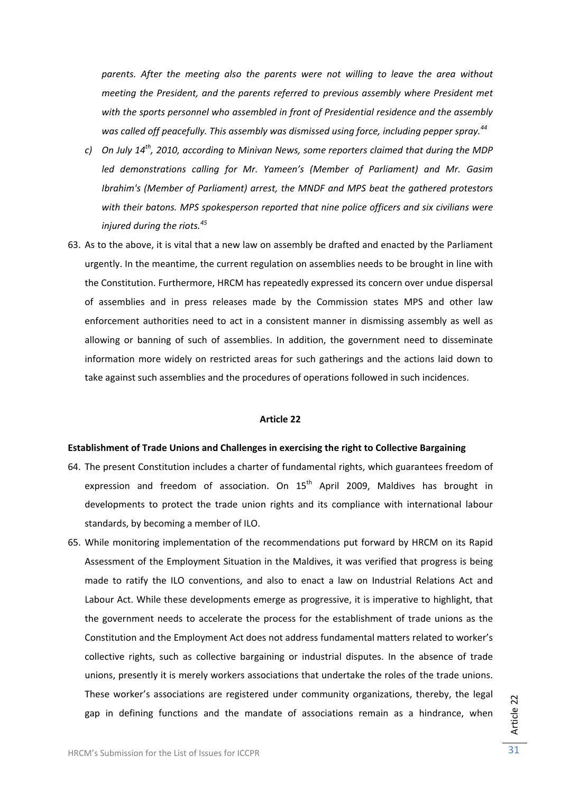*parents. After the meeting also the parents were not willing to leave the area without meeting the President, and the parents referred to previous assembly where President met with the sports personnel who assembled in front of Presidential residence and the assembly was called off peacefully. This assembly was dismissed using force, including pepper spray.<sup>44</sup>*

- *c) On July 14th, 2010, according to Minivan News, some reporters claimed that during the MDP led demonstrations calling for Mr. Yameen's (Member of Parliament) and Mr. Gasim Ibrahim's (Member of Parliament) arrest, the MNDF and MPS beat the gathered protestors with their batons. MPS spokesperson reported that nine police officers and six civilians were injured during the riots.<sup>45</sup>*
- 63. As to the above, it is vital that a new law on assembly be drafted and enacted by the Parliament urgently. In the meantime, the current regulation on assemblies needs to be brought in line with the Constitution. Furthermore, HRCM has repeatedly expressed its concern over undue dispersal of assemblies and in press releases made by the Commission states MPS and other law enforcement authorities need to act in a consistent manner in dismissing assembly as well as allowing or banning of such of assemblies. In addition, the government need to disseminate information more widely on restricted areas for such gatherings and the actions laid down to take against such assemblies and the procedures of operations followed in such incidences.

## **Article 22**

## **Establishment of Trade Unions and Challenges in exercising the right to Collective Bargaining**

- 64. The present Constitution includes a charter of fundamental rights, which guarantees freedom of expression and freedom of association. On  $15<sup>th</sup>$  April 2009, Maldives has brought in developments to protect the trade union rights and its compliance with international labour standards, by becoming a member of ILO.
- 65. While monitoring implementation of the recommendations put forward by HRCM on its Rapid Assessment of the Employment Situation in the Maldives, it was verified that progress is being made to ratify the ILO conventions, and also to enact a law on Industrial Relations Act and Labour Act. While these developments emerge as progressive, it is imperative to highlight, that the government needs to accelerate the process for the establishment of trade unions as the Constitution and the Employment Act does not address fundamental matters related to worker's collective rights, such as collective bargaining or industrial disputes. In the absence of trade unions, presently it is merely workers associations that undertake the roles of the trade unions. These worker's associations are registered under community organizations, thereby, the legal gap in defining functions and the mandate of associations remain as a hindrance, when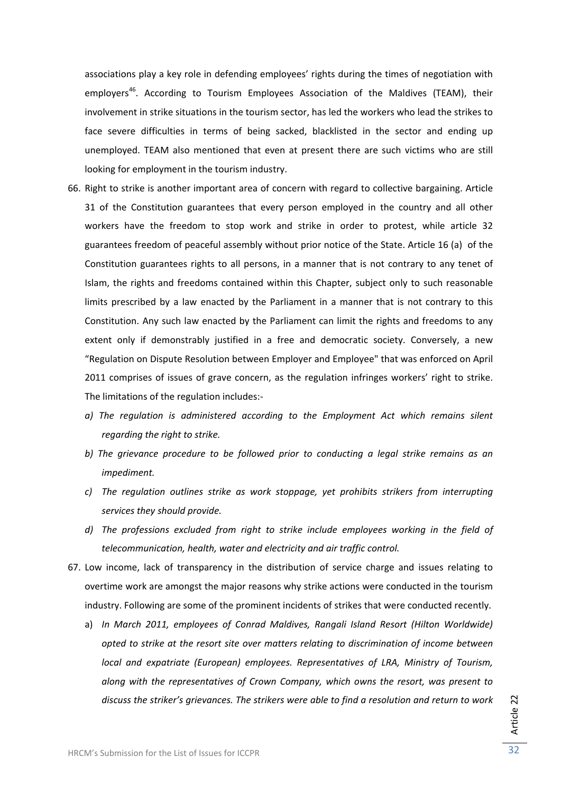associations play a key role in defending employees' rights during the times of negotiation with employers<sup>46</sup>. According to Tourism Employees Association of the Maldives (TEAM), their involvement in strike situations in the tourism sector, has led the workers who lead the strikes to face severe difficulties in terms of being sacked, blacklisted in the sector and ending up unemployed. TEAM also mentioned that even at present there are such victims who are still looking for employment in the tourism industry.

- 66. Right to strike is another important area of concern with regard to collective bargaining. Article 31 of the Constitution guarantees that every person employed in the country and all other workers have the freedom to stop work and strike in order to protest, while article 32 guarantees freedom of peaceful assembly without prior notice of the State. Article 16 (a) of the Constitution guarantees rights to all persons, in a manner that is not contrary to any tenet of Islam, the rights and freedoms contained within this Chapter, subject only to such reasonable limits prescribed by a law enacted by the Parliament in a manner that is not contrary to this Constitution. Any such law enacted by the Parliament can limit the rights and freedoms to any extent only if demonstrably justified in a free and democratic society. Conversely, a new "Regulation on Dispute Resolution between Employer and Employee" that was enforced on April 2011 comprises of issues of grave concern, as the regulation infringes workers' right to strike. The limitations of the regulation includes:‐
	- *a) The regulation is administered according to the Employment Act which remains silent regarding the right to strike.*
	- *b) The grievance procedure to be followed prior to conducting a legal strike remains as an impediment.*
	- *c) The regulation outlines strike as work stoppage, yet prohibits strikers from interrupting services they should provide.*
	- *d) The professions excluded from right to strike include employees working in the field of telecommunication, health, water and electricity and air traffic control.*
- 67. Low income, lack of transparency in the distribution of service charge and issues relating to overtime work are amongst the major reasons why strike actions were conducted in the tourism industry. Following are some of the prominent incidents of strikes that were conducted recently.
	- a) *In March 2011, employees of Conrad Maldives, Rangali Island Resort (Hilton Worldwide) opted to strike at the resort site over matters relating to discrimination of income between local and expatriate (European) employees. Representatives of LRA, Ministry of Tourism, along with the representatives of Crown Company, which owns the resort, was present to discuss the striker's grievances. The strikers were able to find a resolution and return to work*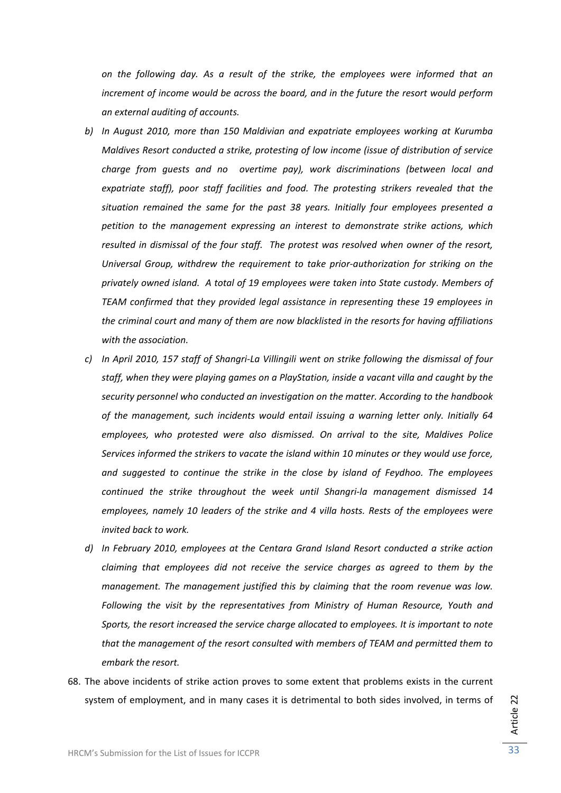*on the following day. As a result of the strike, the employees were informed that an increment of income would be across the board, and in the future the resort would perform an external auditing of accounts.*

- *b) In August 2010, more than 150 Maldivian and expatriate employees working at Kurumba Maldives Resort conducted a strike, protesting of low income (issue of distribution of service charge from guests and no overtime pay), work discriminations (between local and expatriate staff), poor staff facilities and food. The protesting strikers revealed that the situation remained the same for the past 38 years. Initially four employees presented a petition to the management expressing an interest to demonstrate strike actions, which resulted in dismissal of the four staff. The protest was resolved when owner of the resort, Universal Group, withdrew the requirement to take prior‐authorization for striking on the privately owned island. A total of 19 employees were taken into State custody. Members of TEAM confirmed that they provided legal assistance in representing these 19 employees in the criminal court and many of them are now blacklisted in the resorts for having affiliations with the association.*
- c) In April 2010, 157 staff of Shangri-La Villingili went on strike following the dismissal of four *staff, when they were playing games on a PlayStation, inside a vacant villa and caught by the security personnel who conducted an investigation on the matter. According to the handbook of the management, such incidents would entail issuing a warning letter only. Initially 64 employees, who protested were also dismissed. On arrival to the site, Maldives Police Services informed the strikers to vacate the island within 10 minutes or they would use force, and suggested to continue the strike in the close by island of Feydhoo. The employees continued the strike throughout the week until Shangri‐la management dismissed 14 employees, namely 10 leaders of the strike and 4 villa hosts. Rests of the employees were invited back to work.*
- *d) In February 2010, employees at the Centara Grand Island Resort conducted a strike action claiming that employees did not receive the service charges as agreed to them by the management. The management justified this by claiming that the room revenue was low. Following the visit by the representatives from Ministry of Human Resource, Youth and Sports, the resort increased the service charge allocated to employees. It is important to note that the management of the resort consulted with members of TEAM and permitted them to embark the resort.*
- 68. The above incidents of strike action proves to some extent that problems exists in the current system of employment, and in many cases it is detrimental to both sides involved, in terms of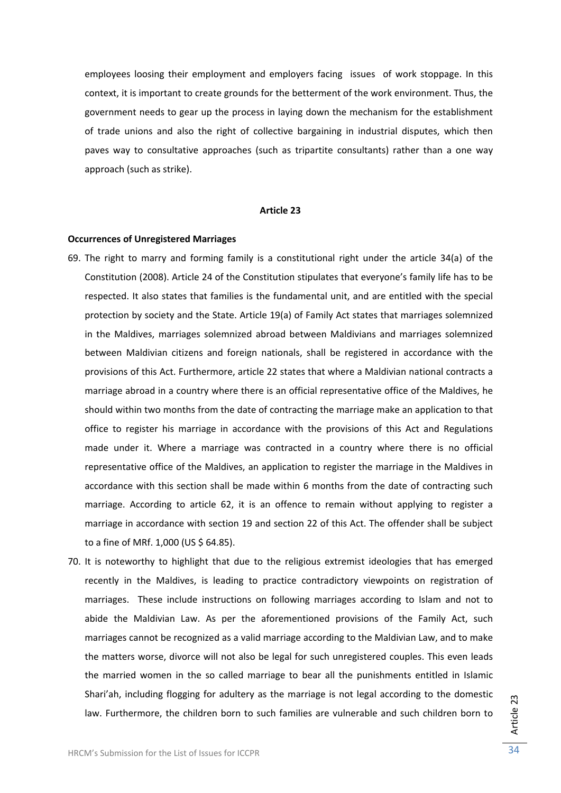employees loosing their employment and employers facing issues of work stoppage. In this context, it is important to create grounds for the betterment of the work environment. Thus, the government needs to gear up the process in laying down the mechanism for the establishment of trade unions and also the right of collective bargaining in industrial disputes, which then paves way to consultative approaches (such as tripartite consultants) rather than a one way approach (such as strike).

### **Article 23**

## **Occurrences of Unregistered Marriages**

- 69. The right to marry and forming family is a constitutional right under the article 34(a) of the Constitution (2008). Article 24 of the Constitution stipulates that everyone's family life has to be respected. It also states that families is the fundamental unit, and are entitled with the special protection by society and the State. Article 19(a) of Family Act states that marriages solemnized in the Maldives, marriages solemnized abroad between Maldivians and marriages solemnized between Maldivian citizens and foreign nationals, shall be registered in accordance with the provisions of this Act. Furthermore, article 22 states that where a Maldivian national contracts a marriage abroad in a country where there is an official representative office of the Maldives, he should within two months from the date of contracting the marriage make an application to that office to register his marriage in accordance with the provisions of this Act and Regulations made under it. Where a marriage was contracted in a country where there is no official representative office of the Maldives, an application to register the marriage in the Maldives in accordance with this section shall be made within 6 months from the date of contracting such marriage. According to article 62, it is an offence to remain without applying to register a marriage in accordance with section 19 and section 22 of this Act. The offender shall be subject to a fine of MRf. 1,000 (US \$ 64.85).
- 70. It is noteworthy to highlight that due to the religious extremist ideologies that has emerged recently in the Maldives, is leading to practice contradictory viewpoints on registration of marriages. These include instructions on following marriages according to Islam and not to abide the Maldivian Law. As per the aforementioned provisions of the Family Act, such marriages cannot be recognized as a valid marriage according to the Maldivian Law, and to make the matters worse, divorce will not also be legal for such unregistered couples. This even leads the married women in the so called marriage to bear all the punishments entitled in Islamic Shari'ah, including flogging for adultery as the marriage is not legal according to the domestic law. Furthermore, the children born to such families are vulnerable and such children born to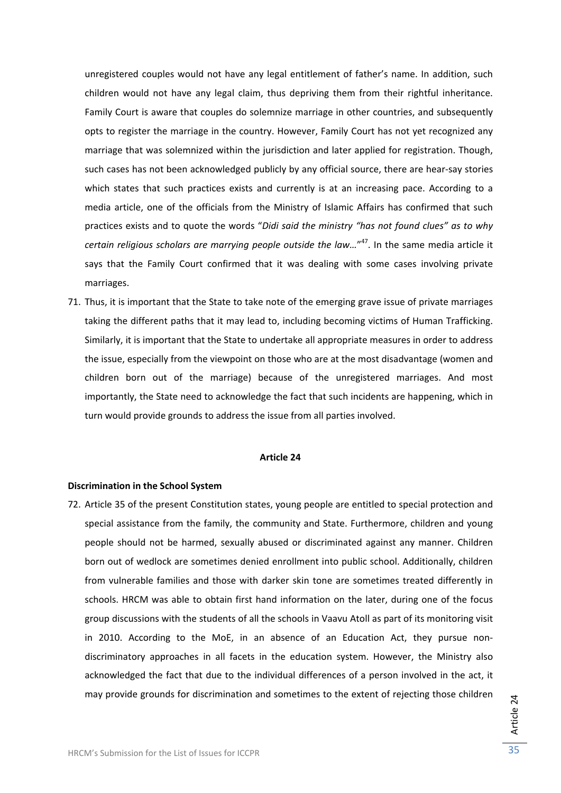unregistered couples would not have any legal entitlement of father's name. In addition, such children would not have any legal claim, thus depriving them from their rightful inheritance. Family Court is aware that couples do solemnize marriage in other countries, and subsequently opts to register the marriage in the country. However, Family Court has not yet recognized any marriage that was solemnized within the jurisdiction and later applied for registration. Though, such cases has not been acknowledged publicly by any official source, there are hear-say stories which states that such practices exists and currently is at an increasing pace. According to a media article, one of the officials from the Ministry of Islamic Affairs has confirmed that such practices exists and to quote the words "*Didi said the ministry "has not found clues" as to why certain religious scholars are marrying people outside the law…*" 47. In the same media article it says that the Family Court confirmed that it was dealing with some cases involving private marriages.

71. Thus, it is important that the State to take note of the emerging grave issue of private marriages taking the different paths that it may lead to, including becoming victims of Human Trafficking. Similarly, it is important that the State to undertake all appropriate measures in order to address the issue, especially from the viewpoint on those who are at the most disadvantage (women and children born out of the marriage) because of the unregistered marriages. And most importantly, the State need to acknowledge the fact that such incidents are happening, which in turn would provide grounds to address the issue from all parties involved.

## **Article 24**

#### **Discrimination in the School System**

72. Article 35 of the present Constitution states, young people are entitled to special protection and special assistance from the family, the community and State. Furthermore, children and young people should not be harmed, sexually abused or discriminated against any manner. Children born out of wedlock are sometimes denied enrollment into public school. Additionally, children from vulnerable families and those with darker skin tone are sometimes treated differently in schools. HRCM was able to obtain first hand information on the later, during one of the focus group discussions with the students of all the schools in Vaavu Atoll as part of its monitoring visit in 2010. According to the MoE, in an absence of an Education Act, they pursue nondiscriminatory approaches in all facets in the education system. However, the Ministry also acknowledged the fact that due to the individual differences of a person involved in the act, it may provide grounds for discrimination and sometimes to the extent of rejecting those children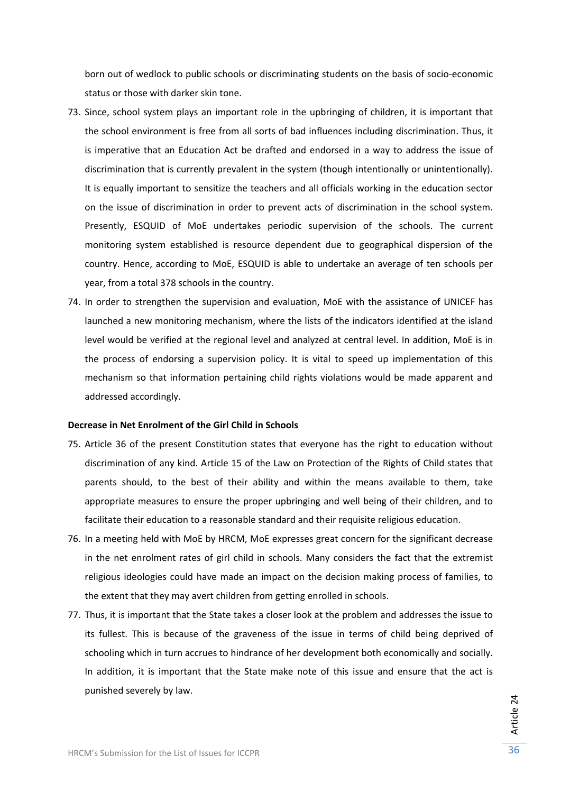born out of wedlock to public schools or discriminating students on the basis of socio‐economic status or those with darker skin tone.

- 73. Since, school system plays an important role in the upbringing of children, it is important that the school environment is free from all sorts of bad influences including discrimination. Thus, it is imperative that an Education Act be drafted and endorsed in a way to address the issue of discrimination that is currently prevalent in the system (though intentionally or unintentionally). It is equally important to sensitize the teachers and all officials working in the education sector on the issue of discrimination in order to prevent acts of discrimination in the school system. Presently, ESQUID of MoE undertakes periodic supervision of the schools. The current monitoring system established is resource dependent due to geographical dispersion of the country. Hence, according to MoE, ESQUID is able to undertake an average of ten schools per year, from a total 378 schools in the country.
- 74. In order to strengthen the supervision and evaluation, MoE with the assistance of UNICEF has launched a new monitoring mechanism, where the lists of the indicators identified at the island level would be verified at the regional level and analyzed at central level. In addition, MoE is in the process of endorsing a supervision policy. It is vital to speed up implementation of this mechanism so that information pertaining child rights violations would be made apparent and addressed accordingly.

## **Decrease in Net Enrolment of the Girl Child in Schools**

- 75. Article 36 of the present Constitution states that everyone has the right to education without discrimination of any kind. Article 15 of the Law on Protection of the Rights of Child states that parents should, to the best of their ability and within the means available to them, take appropriate measures to ensure the proper upbringing and well being of their children, and to facilitate their education to a reasonable standard and their requisite religious education.
- 76. In a meeting held with MoE by HRCM, MoE expresses great concern for the significant decrease in the net enrolment rates of girl child in schools. Many considers the fact that the extremist religious ideologies could have made an impact on the decision making process of families, to the extent that they may avert children from getting enrolled in schools.
- 77. Thus, it is important that the State takes a closer look at the problem and addresses the issue to its fullest. This is because of the graveness of the issue in terms of child being deprived of schooling which in turn accrues to hindrance of her development both economically and socially. In addition, it is important that the State make note of this issue and ensure that the act is punished severely by law.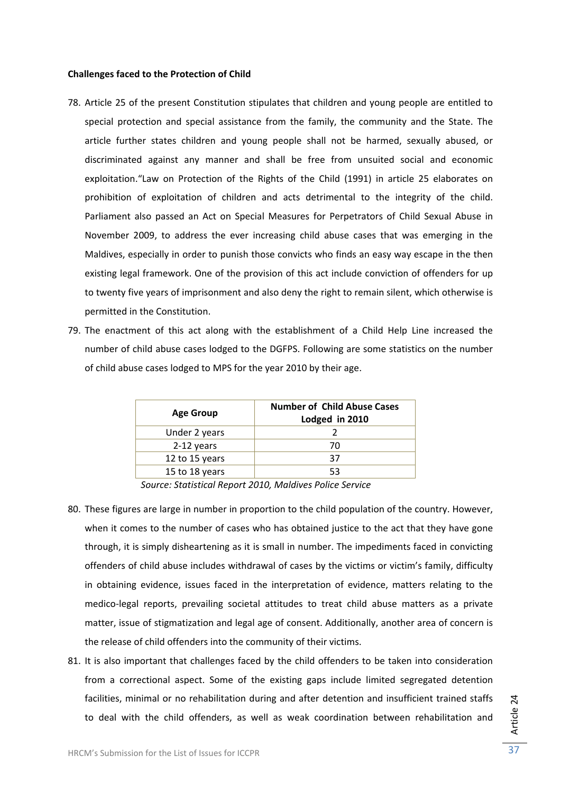## **Challenges faced to the Protection of Child**

- 78. Article 25 of the present Constitution stipulates that children and young people are entitled to special protection and special assistance from the family, the community and the State. The article further states children and young people shall not be harmed, sexually abused, or discriminated against any manner and shall be free from unsuited social and economic exploitation."Law on Protection of the Rights of the Child (1991) in article 25 elaborates on prohibition of exploitation of children and acts detrimental to the integrity of the child. Parliament also passed an Act on Special Measures for Perpetrators of Child Sexual Abuse in November 2009, to address the ever increasing child abuse cases that was emerging in the Maldives, especially in order to punish those convicts who finds an easy way escape in the then existing legal framework. One of the provision of this act include conviction of offenders for up to twenty five years of imprisonment and also deny the right to remain silent, which otherwise is permitted in the Constitution.
- 79. The enactment of this act along with the establishment of a Child Help Line increased the number of child abuse cases lodged to the DGFPS. Following are some statistics on the number of child abuse cases lodged to MPS for the year 2010 by their age.

| <b>Age Group</b> | <b>Number of Child Abuse Cases</b><br>Lodged in 2010 |
|------------------|------------------------------------------------------|
| Under 2 years    |                                                      |
| 2-12 years       | 70                                                   |
| 12 to 15 years   | 37                                                   |
| 15 to 18 years   |                                                      |

*Source: Statistical Report 2010, Maldives Police Service*

- 80. These figures are large in number in proportion to the child population of the country. However, when it comes to the number of cases who has obtained justice to the act that they have gone through, it is simply disheartening as it is small in number. The impediments faced in convicting offenders of child abuse includes withdrawal of cases by the victims or victim's family, difficulty in obtaining evidence, issues faced in the interpretation of evidence, matters relating to the medico‐legal reports, prevailing societal attitudes to treat child abuse matters as a private matter, issue of stigmatization and legal age of consent. Additionally, another area of concern is the release of child offenders into the community of their victims.
- 81. It is also important that challenges faced by the child offenders to be taken into consideration from a correctional aspect. Some of the existing gaps include limited segregated detention facilities, minimal or no rehabilitation during and after detention and insufficient trained staffs to deal with the child offenders, as well as weak coordination between rehabilitation and

Article 24 Article 24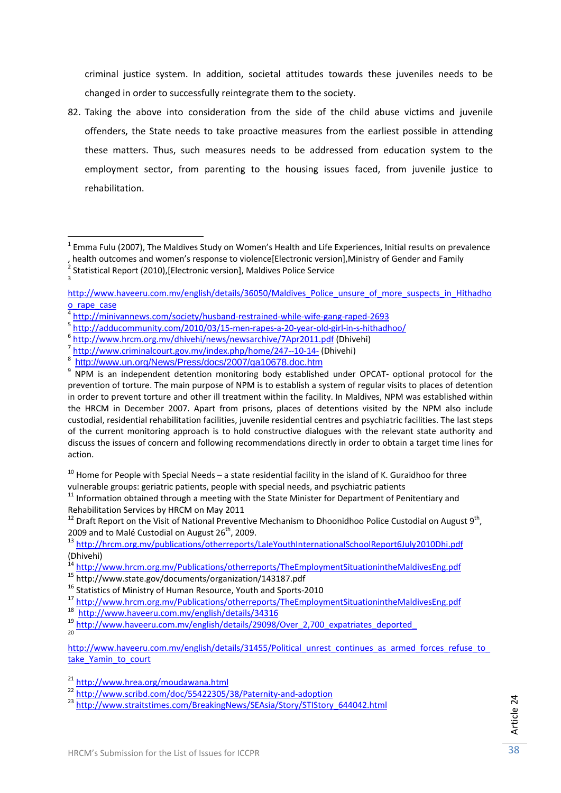criminal justice system. In addition, societal attitudes towards these juveniles needs to be changed in order to successfully reintegrate them to the society.

82. Taking the above into consideration from the side of the child abuse victims and juvenile offenders, the State needs to take proactive measures from the earliest possible in attending these matters. Thus, such measures needs to be addressed from education system to the employment sector, from parenting to the housing issues faced, from juvenile justice to rehabilitation.

Article 24

Article 24

 $<sup>1</sup>$  Emma Fulu (2007), The Maldives Study on Women's Health and Life Experiences, Initial results on prevalence</sup> , health outcomes and women's response to violence[Electronic version], Ministry of Gender and Family  $^2$  Statistical Report (2010), [Electronic version], Maldives Police Service

http://www.haveeru.com.mv/english/details/36050/Maldives\_Police\_unsure\_of\_more\_suspects\_in\_Hithadho o\_rape\_case

 $\frac{1}{100} \times \frac{1}{100}$   $\frac{1}{100}$   $\frac{1}{100}$   $\frac{1}{100}$   $\frac{1}{100}$   $\frac{1}{100}$   $\frac{1}{100}$   $\frac{1}{100}$   $\frac{1}{100}$   $\frac{1}{100}$   $\frac{1}{100}$   $\frac{1}{100}$   $\frac{1}{100}$   $\frac{1}{100}$   $\frac{1}{100}$   $\frac{1}{100}$   $\frac{1}{100}$   $\frac{1}{$ 

<sup>9</sup> NPM is an independent detention monitoring body established under OPCAT- optional protocol for the prevention of torture. The main purpose of NPM is to establish a system of regular visits to places of detention in order to prevent torture and other ill treatment within the facility. In Maldives, NPM was established within the HRCM in December 2007. Apart from prisons, places of detentions visited by the NPM also include custodial, residential rehabilitation facilities, juvenile residential centres and psychiatric facilities. The last steps of the current monitoring approach is to hold constructive dialogues with the relevant state authority and discuss the issues of concern and following recommendations directly in order to obtain a target time lines for action.

 $10$  Home for People with Special Needs – a state residential facility in the island of K. Guraidhoo for three

vulnerable groups: geriatric patients, people with special needs, and psychiatric patients  $11$  Information obtained through a meeting with the State Minister for Department of Penitentiary and Rehabilitation Services by

<sup>&</sup>lt;sup>12</sup> Draft Report on the Visit of National Preventive Mechanism to Dhoonidhoo Police Custodial on August 9<sup>th</sup>, 2009 and to Malé Custodial on August 9<sup>th</sup>,

<sup>&</sup>lt;sup>13</sup> http://hrcm.org.mv/publications/otherreports/LaleYouthInternationalSchoolReport6July2010Dhi.pdf (Dhivehi)<br><sup>14</sup> http://www.hrcm.org.mv/Publications/otherreports/TheEmploymentSituationintheMaldivesEng.pdf

<sup>&</sup>lt;sup>15</sup> http://www.state.gov/documents/organization/143187.pdf<br>
<sup>16</sup> Statistics of Ministry of Human Resource, Youth and Sports-2010<br>
<sup>17</sup> http://www.hrcm.org.mv/Publications/otherreports/TheEmploymentSituationintheMaldivesE

http://www.haveeru.com.mv/english/details/31455/Political\_unrest\_continues\_as\_armed\_forces\_refuse\_to take\_Yamin\_to\_court

<sup>&</sup>lt;sup>21</sup> http://www.hrea.org/moudawana.html<br><sup>22</sup> http://www.scribd.com/doc/55422305/38/Paternity-and-adoption<br><sup>23</sup> http://www.straitstimes.com/BreakingNews/SEAsia/Story/STIStory\_644042.html